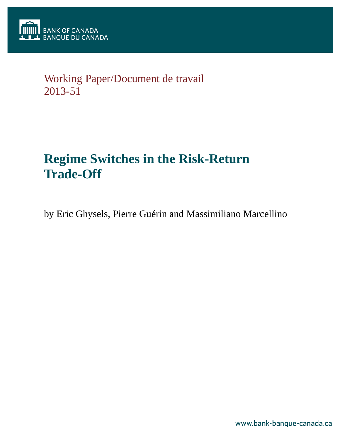

# Working Paper/Document de travail 2013-51

# **Regime Switches in the Risk-Return Trade-Off**

by Eric Ghysels, Pierre Guérin and Massimiliano Marcellino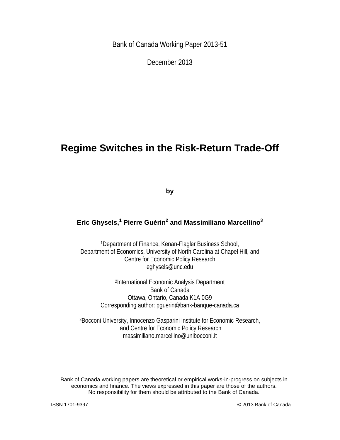Bank of Canada Working Paper 2013-51

December 2013

## **Regime Switches in the Risk-Return Trade-Off**

**by**

## **Eric Ghysels,<sup>1</sup> Pierre Guérin2 and Massimiliano Marcellino3**

1Department of Finance, Kenan-Flagler Business School, Department of Economics, University of North Carolina at Chapel Hill, and Centre for Economic Policy Research eghysels@unc.edu

> 2International Economic Analysis Department Bank of Canada Ottawa, Ontario, Canada K1A 0G9 Corresponding author: pguerin@bank-banque-canada.ca

3Bocconi University, Innocenzo Gasparini Institute for Economic Research, and Centre for Economic Policy Research massimiliano.marcellino@unibocconi.it

Bank of Canada working papers are theoretical or empirical works-in-progress on subjects in economics and finance. The views expressed in this paper are those of the authors. No responsibility for them should be attributed to the Bank of Canada.

ISSN 1701-9397 © 2013 Bank of Canada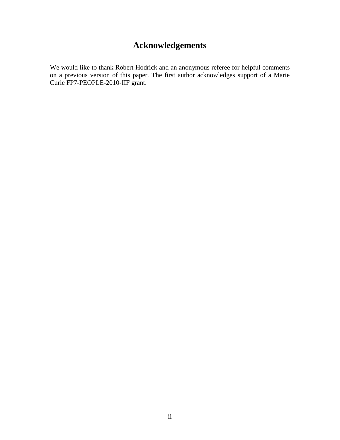## **Acknowledgements**

We would like to thank Robert Hodrick and an anonymous referee for helpful comments on a previous version of this paper. The first author acknowledges support of a Marie Curie FP7-PEOPLE-2010-IIF grant.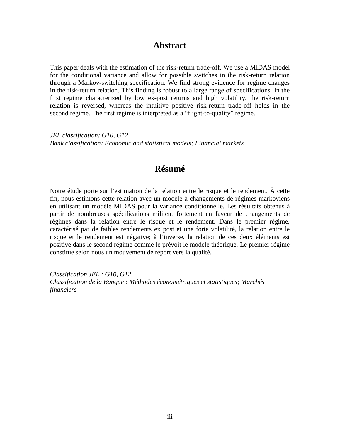## **Abstract**

This paper deals with the estimation of the risk-return trade-off. We use a MIDAS model for the conditional variance and allow for possible switches in the risk-return relation through a Markov-switching specification. We find strong evidence for regime changes in the risk-return relation. This finding is robust to a large range of specifications. In the first regime characterized by low ex-post returns and high volatility, the risk-return relation is reversed, whereas the intuitive positive risk-return trade-off holds in the second regime. The first regime is interpreted as a "flight-to-quality" regime.

*JEL classification: G10, G12 Bank classification: Economic and statistical models; Financial markets*

## **Résumé**

Notre étude porte sur l'estimation de la relation entre le risque et le rendement. À cette fin, nous estimons cette relation avec un modèle à changements de régimes markoviens en utilisant un modèle MIDAS pour la variance conditionnelle. Les résultats obtenus à partir de nombreuses spécifications militent fortement en faveur de changements de régimes dans la relation entre le risque et le rendement. Dans le premier régime, caractérisé par de faibles rendements ex post et une forte volatilité, la relation entre le risque et le rendement est négative; à l'inverse, la relation de ces deux éléments est positive dans le second régime comme le prévoit le modèle théorique. Le premier régime constitue selon nous un mouvement de report vers la qualité.

*Classification JEL : G10, G12, Classification de la Banque : Méthodes économétriques et statistiques; Marchés financiers*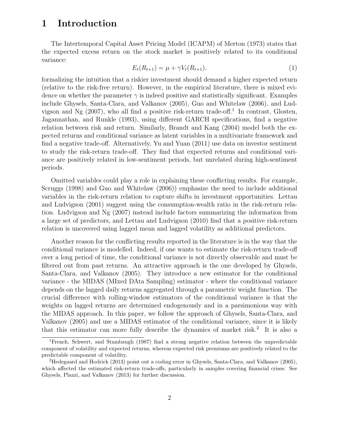## 1 Introduction

The Intertemporal Capital Asset Pricing Model (ICAPM) of Merton (1973) states that the expected excess return on the stock market is positively related to its conditional variance:

$$
E_t(R_{t+1}) = \mu + \gamma V_t(R_{t+1}),
$$
\n(1)

formalizing the intuition that a riskier investment should demand a higher expected return (relative to the risk-free return). However, in the empirical literature, there is mixed evidence on whether the parameter  $\gamma$  is indeed positive and statistically significant. Examples include Ghysels, Santa-Clara, and Valkanov (2005), Guo and Whitelaw (2006), and Ludvigson and Ng  $(2007)$ , who all find a positive risk-return trade-off.<sup>1</sup> In contrast, Glosten, Jagannathan, and Runkle (1993), using different GARCH specifications, find a negative relation between risk and return. Similarly, Brandt and Kang (2004) model both the expected returns and conditional variance as latent variables in a multivariate framework and find a negative trade-off. Alternatively, Yu and Yuan (2011) use data on investor sentiment to study the risk-return trade-off. They find that expected returns and conditional variance are positively related in low-sentiment periods, but unrelated during high-sentiment periods.

Omitted variables could play a role in explaining these conflicting results. For example, Scruggs (1998) and Guo and Whitelaw (2006)) emphasize the need to include additional variables in the risk-return relation to capture shifts in investment opportunities. Lettau and Ludvigson (2001) suggest using the consumption-wealth ratio in the risk-return relation. Ludvigson and Ng (2007) instead include factors summarizing the information from a large set of predictors, and Lettau and Ludvigson (2010) find that a positive risk-return relation is uncovered using lagged mean and lagged volatility as additional predictors.

Another reason for the conflicting results reported in the literature is in the way that the conditional variance is modelled. Indeed, if one wants to estimate the risk-return trade-off over a long period of time, the conditional variance is not directly observable and must be filtered out from past returns. An attractive approach is the one developed by Ghysels, Santa-Clara, and Valkanov (2005). They introduce a new estimator for the conditional variance - the MIDAS (MIxed DAta Sampling) estimator - where the conditional variance depends on the lagged daily returns aggregated through a parametric weight function. The crucial difference with rolling-window estimators of the conditional variance is that the weights on lagged returns are determined endogenously and in a parsimonious way with the MIDAS approach. In this paper, we follow the approach of Ghysels, Santa-Clara, and Valkanov (2005) and use a MIDAS estimator of the conditional variance, since it is likely that this estimator can more fully describe the dynamics of market risk.<sup>2</sup> It is also a

<sup>1</sup>French, Schwert, and Stambaugh (1987) find a strong negative relation between the unpredictable component of volatility and expected returns, whereas expected risk premiums are positively related to the predictable component of volatility.

<sup>2</sup>Hedegaard and Hodrick (2013) point out a coding error in Ghysels, Santa-Clara, and Valkanov (2005), which affected the estimated risk-return trade-offs, particularly in samples covering financial crises. See Ghysels, Plazzi, and Valkanov (2013) for further discussion.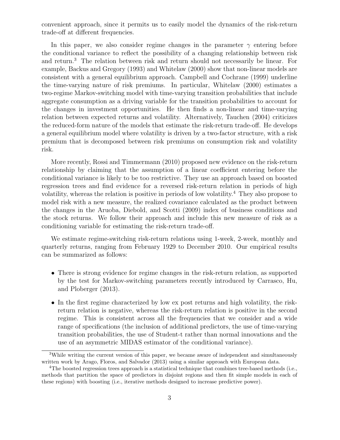convenient approach, since it permits us to easily model the dynamics of the risk-return trade-off at different frequencies.

In this paper, we also consider regime changes in the parameter  $\gamma$  entering before the conditional variance to reflect the possibility of a changing relationship between risk and return.<sup>3</sup> The relation between risk and return should not necessarily be linear. For example, Backus and Gregory (1993) and Whitelaw (2000) show that non-linear models are consistent with a general equilibrium approach. Campbell and Cochrane (1999) underline the time-varying nature of risk premiums. In particular, Whitelaw (2000) estimates a two-regime Markov-switching model with time-varying transition probabilities that include aggregate consumption as a driving variable for the transition probabilities to account for the changes in investment opportunities. He then finds a non-linear and time-varying relation between expected returns and volatility. Alternatively, Tauchen (2004) criticizes the reduced-form nature of the models that estimate the risk-return trade-off. He develops a general equilibrium model where volatility is driven by a two-factor structure, with a risk premium that is decomposed between risk premiums on consumption risk and volatility risk.

More recently, Rossi and Timmermann (2010) proposed new evidence on the risk-return relationship by claiming that the assumption of a linear coefficient entering before the conditional variance is likely to be too restrictive. They use an approach based on boosted regression trees and find evidence for a reversed risk-return relation in periods of high volatility, whereas the relation is positive in periods of low volatility.<sup>4</sup> They also propose to model risk with a new measure, the realized covariance calculated as the product between the changes in the Aruoba, Diebold, and Scotti (2009) index of business conditions and the stock returns. We follow their approach and include this new measure of risk as a conditioning variable for estimating the risk-return trade-off.

We estimate regime-switching risk-return relations using 1-week, 2-week, monthly and quarterly returns, ranging from February 1929 to December 2010. Our empirical results can be summarized as follows:

- There is strong evidence for regime changes in the risk-return relation, as supported by the test for Markov-switching parameters recently introduced by Carrasco, Hu, and Ploberger (2013).
- In the first regime characterized by low ex post returns and high volatility, the riskreturn relation is negative, whereas the risk-return relation is positive in the second regime. This is consistent across all the frequencies that we consider and a wide range of specifications (the inclusion of additional predictors, the use of time-varying transition probabilities, the use of Student-t rather than normal innovations and the use of an asymmetric MIDAS estimator of the conditional variance).

<sup>&</sup>lt;sup>3</sup>While writing the current version of this paper, we became aware of independent and simultaneously written work by Arago, Floros, and Salvador (2013) using a similar approach with European data.

<sup>&</sup>lt;sup>4</sup>The boosted regression trees approach is a statistical technique that combines tree-based methods (i.e., methods that partition the space of predictors in disjoint regions and then fit simple models in each of these regions) with boosting (i.e., iterative methods designed to increase predictive power).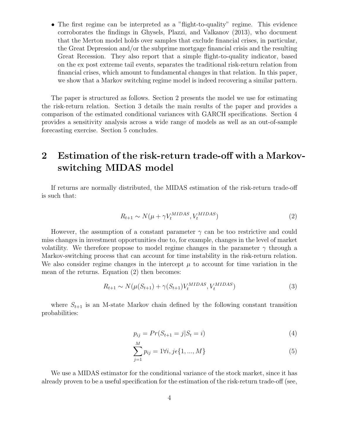• The first regime can be interpreted as a "flight-to-quality" regime. This evidence corroborates the findings in Ghysels, Plazzi, and Valkanov (2013), who document that the Merton model holds over samples that exclude financial crises, in particular, the Great Depression and/or the subprime mortgage financial crisis and the resulting Great Recession. They also report that a simple flight-to-quality indicator, based on the ex post extreme tail events, separates the traditional risk-return relation from financial crises, which amount to fundamental changes in that relation. In this paper, we show that a Markov switching regime model is indeed recovering a similar pattern.

The paper is structured as follows. Section 2 presents the model we use for estimating the risk-return relation. Section 3 details the main results of the paper and provides a comparison of the estimated conditional variances with GARCH specifications. Section 4 provides a sensitivity analysis across a wide range of models as well as an out-of-sample forecasting exercise. Section 5 concludes.

## 2 Estimation of the risk-return trade-off with a Markovswitching MIDAS model

If returns are normally distributed, the MIDAS estimation of the risk-return trade-off is such that:

$$
R_{t+1} \sim N(\mu + \gamma V_t^{MIDAS}, V_t^{MIDAS})
$$
\n<sup>(2)</sup>

However, the assumption of a constant parameter  $\gamma$  can be too restrictive and could miss changes in investment opportunities due to, for example, changes in the level of market volatility. We therefore propose to model regime changes in the parameter  $\gamma$  through a Markov-switching process that can account for time instability in the risk-return relation. We also consider regime changes in the intercept  $\mu$  to account for time variation in the mean of the returns. Equation (2) then becomes:

$$
R_{t+1} \sim N(\mu(S_{t+1}) + \gamma(S_{t+1})V_t^{MIDAS}, V_t^{MIDAS})
$$
\n(3)

where  $S_{t+1}$  is an M-state Markov chain defined by the following constant transition probabilities:

$$
p_{ij} = Pr(S_{t+1} = j | S_t = i)
$$
\n(4)

$$
\sum_{j=1}^{M} p_{ij} = 1 \forall i, j \in \{1, ..., M\}
$$
 (5)

We use a MIDAS estimator for the conditional variance of the stock market, since it has already proven to be a useful specification for the estimation of the risk-return trade-off (see,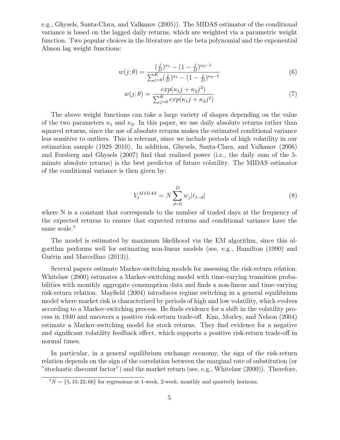e.g., Ghysels, Santa-Clara, and Valkanov (2005)). The MIDAS estimator of the conditional variance is based on the lagged daily returns, which are weighted via a parametric weight function. Two popular choices in the literature are the beta polynomial and the exponential Almon lag weight functions:

$$
w(j; \theta) = \frac{\left(\frac{j}{D}\right)^{\kappa_1} - \left(1 - \frac{j}{D}\right)^{\kappa_2 - 1}}{\sum_{j=0}^{K} \left(\frac{j}{D}\right)^{\kappa_1} - \left(1 - \frac{j}{D}\right)^{\kappa_2 - 1}}\tag{6}
$$

$$
w(j; \theta) = \frac{exp(\kappa_1 j + \kappa_2 j^2)}{\sum_{j=0}^{K} exp(\kappa_1 j + \kappa_2 j^2)}
$$
(7)

The above weight functions can take a large variety of shapes depending on the value of the two parameters  $\kappa_1$  and  $\kappa_2$ . In this paper, we use daily absolute returns rather than squared returns, since the use of absolute returns makes the estimated conditional variance less sensitive to outliers. This is relevant, since we include periods of high volatility in our estimation sample (1929–2010). In addition, Ghysels, Santa-Clara, and Valkanov (2006) and Forsberg and Ghysels (2007) find that realized power (i.e., the daily sum of the 5 minute absolute returns) is the best predictor of future volatility. The MIDAS estimator of the conditional variance is then given by:

$$
V_t^{MIDAS} = N \sum_{d=0}^{D} w_j |r_{t-d}|
$$
\n
$$
(8)
$$

where N is a constant that corresponds to the number of traded days at the frequency of the expected returns to ensure that expected returns and conditional variance have the same scale.<sup>5</sup>

The model is estimated by maximum likelihood via the EM algorithm, since this algorithm performs well for estimating non-linear models (see, e.g., Hamilton (1990) and Guérin and Marcellino (2013)).

Several papers estimate Markov-switching models for assessing the risk-return relation. Whitelaw (2000) estimates a Markov-switching model with time-varying transition probabilities with monthly aggregate consumption data and finds a non-linear and time-varying risk-return relation. Mayfield (2004) introduces regime switching in a general equilibrium model where market risk is characterized by periods of high and low volatility, which evolves according to a Markov-switching process. He finds evidence for a shift in the volatility process in 1940 and uncovers a positive risk-return trade-off. Kim, Morley, and Nelson (2004) estimate a Markov-switching model for stock returns. They find evidence for a negative and significant volatility feedback effect, which supports a positive risk-return trade-off in normal times.

In particular, in a general equilibrium exchange economy, the sign of the risk-return relation depends on the sign of the correlation between the marginal rate of substitution (or "stochastic discount factor") and the market return (see, e.g., Whitelaw (2000)). Therefore,

 $5N = \{5, 10, 22, 66\}$  for regressions at 1-week, 2-week, monthly and quarterly horizons.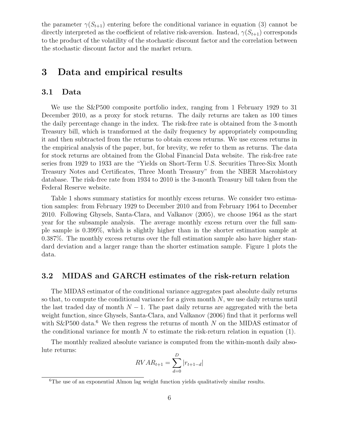the parameter  $\gamma(S_{t+1})$  entering before the conditional variance in equation (3) cannot be directly interpreted as the coefficient of relative risk-aversion. Instead,  $\gamma(S_{t+1})$  corresponds to the product of the volatility of the stochastic discount factor and the correlation between the stochastic discount factor and the market return.

## 3 Data and empirical results

#### 3.1 Data

We use the S&P500 composite portfolio index, ranging from 1 February 1929 to 31 December 2010, as a proxy for stock returns. The daily returns are taken as 100 times the daily percentage change in the index. The risk-free rate is obtained from the 3-month Treasury bill, which is transformed at the daily frequency by appropriately compounding it and then subtracted from the returns to obtain excess returns. We use excess returns in the empirical analysis of the paper, but, for brevity, we refer to them as returns. The data for stock returns are obtained from the Global Financial Data website. The risk-free rate series from 1929 to 1933 are the "Yields on Short-Term U.S. Securities Three-Six Month Treasury Notes and Certificates, Three Month Treasury" from the NBER Macrohistory database. The risk-free rate from 1934 to 2010 is the 3-month Treasury bill taken from the Federal Reserve website.

Table 1 shows summary statistics for monthly excess returns. We consider two estimation samples: from February 1929 to December 2010 and from February 1964 to December 2010. Following Ghysels, Santa-Clara, and Valkanov (2005), we choose 1964 as the start year for the subsample analysis. The average monthly excess return over the full sample sample is 0.399%, which is slightly higher than in the shorter estimation sample at 0.387%. The monthly excess returns over the full estimation sample also have higher standard deviation and a larger range than the shorter estimation sample. Figure 1 plots the data.

#### 3.2 MIDAS and GARCH estimates of the risk-return relation

The MIDAS estimator of the conditional variance aggregates past absolute daily returns so that, to compute the conditional variance for a given month  $N$ , we use daily returns until the last traded day of month  $N-1$ . The past daily returns are aggregated with the beta weight function, since Ghysels, Santa-Clara, and Valkanov (2006) find that it performs well with  $S\&P500$  data.<sup>6</sup> We then regress the returns of month N on the MIDAS estimator of the conditional variance for month  $N$  to estimate the risk-return relation in equation (1).

The monthly realized absolute variance is computed from the within-month daily absolute returns:

$$
RVAR_{t+1} = \sum_{d=0}^{D} |r_{t+1-d}|
$$

<sup>&</sup>lt;sup>6</sup>The use of an exponential Almon lag weight function yields qualitatively similar results.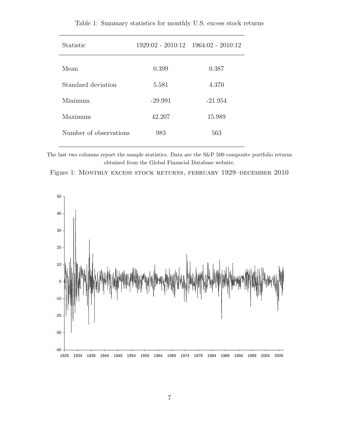| <b>Statistic</b>       |           | $1929:02 - 2010:12$ $1964:02 - 2010:12$ |
|------------------------|-----------|-----------------------------------------|
| Mean                   | 0.399     | 0.387                                   |
| Standard deviation     | 5.581     | 4.370                                   |
| Minimum                | $-29.991$ | $-21.954$                               |
| Maximum                | 42.207    | 15.989                                  |
| Number of observations | 983       | 563                                     |
|                        |           |                                         |

Table 1: Summary statistics for monthly U.S. excess stock returns

The last two columns report the sample statistics. Data are the S&P 500 composite portfolio returns obtained from the Global Financial Database website.



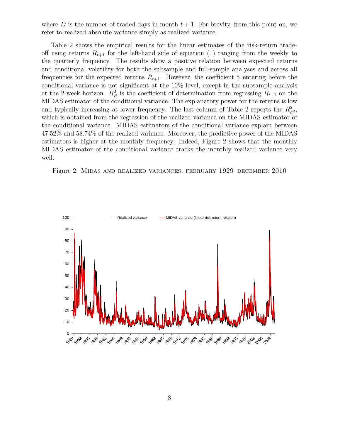where D is the number of traded days in month  $t + 1$ . For brevity, from this point on, we refer to realized absolute variance simply as realized variance.

Table 2 shows the empirical results for the linear estimates of the risk-return tradeoff using returns  $R_{t+1}$  for the left-hand side of equation (1) ranging from the weekly to the quarterly frequency. The results show a positive relation between expected returns and conditional volatility for both the subsample and full-sample analyses and across all frequencies for the expected returns  $R_{t+1}$ . However, the coefficient  $\gamma$  entering before the conditional variance is not significant at the 10% level, except in the subsample analysis at the 2-week horizon.  $R_R^2$  is the coefficient of determination from regressing  $R_{t+1}$  on the MIDAS estimator of the conditional variance. The explanatory power for the returns is low and typically increasing at lower frequency. The last column of Table 2 reports the  $R^2_{\sigma^2}$ , which is obtained from the regression of the realized variance on the MIDAS estimator of the conditional variance. MIDAS estimators of the conditional variance explain between 47.52% and 58.74% of the realized variance. Moreover, the predictive power of the MIDAS estimators is higher at the monthly frequency. Indeed, Figure 2 shows that the monthly MIDAS estimator of the conditional variance tracks the monthly realized variance very well.



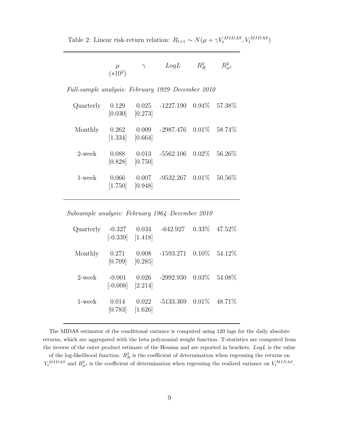Table 2: Linear risk-return relation:  $R_{t+1} \sim N(\mu + \gamma V_t^{MIDAS}, V_t^{MIDAS})$ 

|           | LogL | $R_R^2$ | $R_{\sigma^2}^2$ |
|-----------|------|---------|------------------|
| $(*10^2)$ |      |         |                  |

Full-sample analysis: February 1929–December 2010

| Quarterly | 0.129<br>[0.030] | [0.273]            | $0.025$ -1227.190 $0.94\%$ 57.38% |         |
|-----------|------------------|--------------------|-----------------------------------|---------|
| Monthly   | 0.262<br>[1.334] | 0.009<br>[0.664]   | $-2987.476$ $0.01\%$ 58.74\%      |         |
| 2-week    | 0.088<br>[0.828] | 0.013<br>$[0.750]$ | $-5562.106$ 0.02\%                | 56.26\% |
| $1$ -week | 0.066<br>[1.750] | 0.007<br>[0.948]   | $-9532.267$ $0.01\%$ 50.56\%      |         |

Subsample analysis: February 1964–December 2010

|         | $[-0.339]$ $[1.418]$             |       | Quarterly -0.327 0.034 -642.927 0.33% 47.52% |  |
|---------|----------------------------------|-------|----------------------------------------------|--|
| Monthly | 0.271<br>$[0.709]$ $[0.285]$     |       | $0.008$ -1593.271 $0.10\%$ 54.12%            |  |
| 2-week  | $-0.001$<br>$[-0.008]$ $[2.214]$ |       | $0.026$ -2992.930 $0.03\%$ 54.08%            |  |
| 1-week  | 0.014<br>$[0.783]$ $[1.626]$     | 0.022 | $-5133.369$ $0.01\%$ $48.71\%$               |  |

The MIDAS estimator of the conditional variance is computed using 120 lags for the daily absolute returns, which are aggregated with the beta polynomial weight function. T-statistics are computed from the inverse of the outer product estimate of the Hessian and are reported in brackets.  $Log L$  is the value of the log-likelihood function.  $R_R^2$  is the coefficient of determination when regressing the returns on  $V_t^{MIDAS}$  and  $R_{\sigma^2}^2$  is the coefficient of determination when regressing the realized variance on  $V_t^{MIDAS}$ .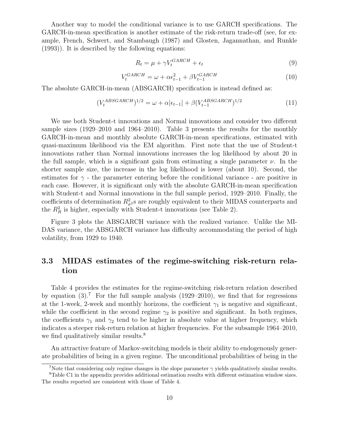Another way to model the conditional variance is to use GARCH specifications. The GARCH-in-mean specification is another estimate of the risk-return trade-off (see, for example, French, Schwert, and Stambaugh (1987) and Glosten, Jagannathan, and Runkle (1993)). It is described by the following equations:

$$
R_t = \mu + \gamma V_t^{GARCH} + \epsilon_t \tag{9}
$$

$$
V_t^{GARCH} = \omega + \alpha \epsilon_{t-1}^2 + \beta V_{t-1}^{GARCH} \tag{10}
$$

The absolute GARCH-in-mean (ABSGARCH) specification is instead defined as:

$$
(V_t^{ABSGARCH})^{1/2} = \omega + \alpha |\epsilon_{t-1}| + \beta (V_{t-1}^{ABSGARCH})^{1/2}
$$
(11)

We use both Student-t innovations and Normal innovations and consider two different sample sizes (1929–2010 and 1964–2010). Table 3 presents the results for the monthly GARCH-in-mean and monthly absolute GARCH-in-mean specifications, estimated with quasi-maximum likelihood via the EM algorithm. First note that the use of Student-t innovations rather than Normal innovations increases the log likelihood by about 20 in the full sample, which is a significant gain from estimating a single parameter  $\nu$ . In the shorter sample size, the increase in the log likelihood is lower (about 10). Second, the estimates for  $\gamma$  - the parameter entering before the conditional variance - are positive in each case. However, it is significant only with the absolute GARCH-in-mean specification with Student-t and Normal innovations in the full sample period, 1929–2010. Finally, the coefficients of determination  $R^2_{\sigma^2}$ s are roughly equivalent to their MIDAS counterparts and the  $R_R^2$  is higher, especially with Student-t innovations (see Table 2).

Figure 3 plots the ABSGARCH variance with the realized variance. Unlike the MI-DAS variance, the ABSGARCH variance has difficulty accommodating the period of high volatility, from 1929 to 1940.

## 3.3 MIDAS estimates of the regime-switching risk-return relation

Table 4 provides the estimates for the regime-switching risk-return relation described by equation  $(3)$ .<sup>7</sup> For the full sample analysis  $(1929-2010)$ , we find that for regressions at the 1-week, 2-week and monthly horizons, the coefficient  $\gamma_1$  is negative and significant, while the coefficient in the second regime  $\gamma_2$  is positive and significant. In both regimes, the coefficients  $\gamma_1$  and  $\gamma_2$  tend to be higher in absolute value at higher frequency, which indicates a steeper risk-return relation at higher frequencies. For the subsample 1964–2010, we find qualitatively similar results.<sup>8</sup>

An attractive feature of Markov-switching models is their ability to endogenously generate probabilities of being in a given regime. The unconditional probabilities of being in the

<sup>&</sup>lt;sup>7</sup>Note that considering only regime changes in the slope parameter  $\gamma$  yields qualitatively similar results.

<sup>8</sup>Table C1 in the appendix provides additional estimation results with different estimation window sizes. The results reported are consistent with those of Table 4.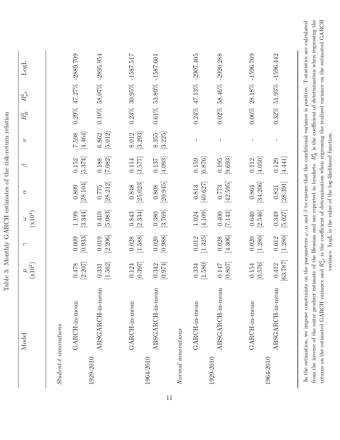|                             | Model                             | $\mu$ (x10 <sup>2</sup> )                    | $\sim$             | $(\mathbf{x} 10^4)$<br>3 | ð                              | $\varnothing$                 | Z                  | $R_{\cal R}^2$  | $R_{\sigma^2}^2$ | LogL                      |
|-----------------------------|-----------------------------------|----------------------------------------------|--------------------|--------------------------|--------------------------------|-------------------------------|--------------------|-----------------|------------------|---------------------------|
|                             | $Student \cdot t \; in novations$ |                                              |                    |                          |                                |                               |                    |                 |                  |                           |
|                             | GARCH-in-mean                     | $[2.207]$<br>$0.478\,$                       | [0.933]<br>0.009   | [3.344]<br>1.199         | [28.104]<br>0.809              | [5.374]<br>0.152              | $[4.464]$<br>7.598 |                 |                  | $0.29\%$ 47.27% -2889.709 |
| 1929-2010                   | ABSGARCH-in-mean                  | [1.562]<br>0.331                             | $[2.206]$<br>0.019 | $[5.083]$<br>0.410       | [28.212]<br>0.775              | $\left[7.082\right]$<br>0.188 | $[5.012]$<br>6.862 |                 |                  | $0.10\%$ 58.07% -2895.954 |
|                             | GARCH-in-mean                     | [0.397]<br>0.124                             | [1.588]<br>0.028   | [2.334]<br>0.843         | [25.023]<br>0.848              | [3.577]<br>$0.114\,$          | [3.293]<br>8.012   |                 |                  | $0.23\%$ 30.95% -1587.517 |
| 1964-2010                   | ABSGARCH-in-mean                  | [0.974]<br>0.342                             | $[0.988]$<br>0.020 | [3.769]<br>0.380         | $\left[20.945\right]$<br>0.808 | [4.093]<br>0.137              | [3.225]<br>8.355   | $0.61\%$        |                  | 53.89% -1587.601          |
| $\emph{Normal}$ innovations |                                   |                                              |                    |                          |                                |                               |                    |                 |                  |                           |
|                             | GARCH-in-mean                     | [1.580]<br>0.334                             | [1.325]<br>0.012   | [4.109]<br>$1.024\,$     | [40.627]<br>$0.813\,$          | [6.876]<br>0.159              | T                  | $0.24\%$ 47.13% |                  | $-2907.405$               |
| 1929-2010                   | ABSGARCH-in-mean                  | $[0.807]$<br>0.147                           | [4.306]<br>0.028   | [7.143]<br>0.400         | [42.595]<br>0.773              | [9.693]<br>0.195              | $\mathbf I$        | $0.02\%$        | 58.46%           | $-2920.288$               |
|                             | GARCH-in-mean                     | [0.576]<br>0.154                             | [1.280]<br>0.020   | [2.546]<br>$0.640\,$     | [34.206]<br>0.864              | [4.050]<br>0.112              | $\mathbf I$        |                 |                  | $0.06\%$ 28.18% -1596.769 |
| 1964-2010                   | ABSGARCH-in-mean                  | [63.787]<br>$\overline{\mathcal{C}}$<br>0.41 | [1.280]<br>0.012   | [5.027]<br>0.349         | [28.391]<br>0.821              | [4.441]<br>0.129              | $\mathsf{I}$       |                 |                  | $0.32\%$ 51.93% -1596.442 |

Table 3: Monthly GARCH estimates of the risk-return relation

returns on the estimated GARCH variance and  $R^2_{\sigma^2}$  is the coefficient of determination when regressing the realized variance on the estimated GARCH variance. LogL is the value of the log-likelihood function. variance. LogL is the value of the log-likelihood function.

returns on the estimated GARCH variance and  $R_{\sigma^2}^2$  is the coefficient of determination when regressing the realized variance on the estimated GARCH

11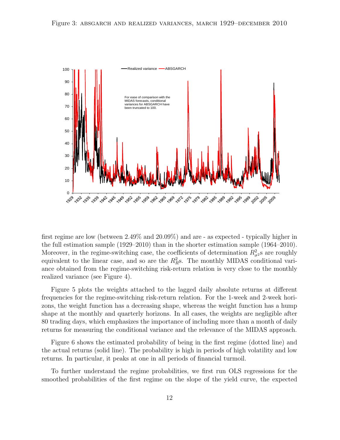

first regime are low (between 2.49% and 20.09%) and are - as expected - typically higher in the full estimation sample (1929–2010) than in the shorter estimation sample (1964–2010). Moreover, in the regime-switching case, the coefficients of determination  $R^2_{\sigma^2}$ s are roughly equivalent to the linear case, and so are the  $R_R^2$ s. The monthly MIDAS conditional variance obtained from the regime-switching risk-return relation is very close to the monthly realized variance (see Figure 4).

Figure 5 plots the weights attached to the lagged daily absolute returns at different frequencies for the regime-switching risk-return relation. For the 1-week and 2-week horizons, the weight function has a decreasing shape, whereas the weight function has a hump shape at the monthly and quarterly horizons. In all cases, the weights are negligible after 80 trading days, which emphasizes the importance of including more than a month of daily returns for measuring the conditional variance and the relevance of the MIDAS approach.

Figure 6 shows the estimated probability of being in the first regime (dotted line) and the actual returns (solid line). The probability is high in periods of high volatility and low returns. In particular, it peaks at one in all periods of financial turmoil.

To further understand the regime probabilities, we first run OLS regressions for the smoothed probabilities of the first regime on the slope of the yield curve, the expected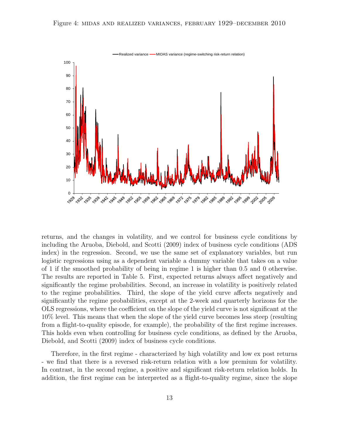

returns, and the changes in volatility, and we control for business cycle conditions by including the Aruoba, Diebold, and Scotti (2009) index of business cycle conditions (ADS index) in the regression. Second, we use the same set of explanatory variables, but run logistic regressions using as a dependent variable a dummy variable that takes on a value of 1 if the smoothed probability of being in regime 1 is higher than 0.5 and 0 otherwise. The results are reported in Table 5. First, expected returns always affect negatively and significantly the regime probabilities. Second, an increase in volatility is positively related to the regime probabilities. Third, the slope of the yield curve affects negatively and significantly the regime probabilities, except at the 2-week and quarterly horizons for the OLS regressions, where the coefficient on the slope of the yield curve is not significant at the 10% level. This means that when the slope of the yield curve becomes less steep (resulting from a flight-to-quality episode, for example), the probability of the first regime increases. This holds even when controlling for business cycle conditions, as defined by the Aruoba, Diebold, and Scotti (2009) index of business cycle conditions.

Therefore, in the first regime - characterized by high volatility and low ex post returns - we find that there is a reversed risk-return relation with a low premium for volatility. In contrast, in the second regime, a positive and significant risk-return relation holds. In addition, the first regime can be interpreted as a flight-to-quality regime, since the slope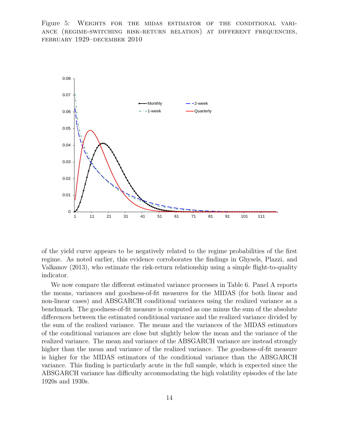Figure 5: Weights for the midas estimator of the conditional variance (regime-switching risk-return relation) at different frequencies, february 1929–december 2010



of the yield curve appears to be negatively related to the regime probabilities of the first regime. As noted earlier, this evidence corroborates the findings in Ghysels, Plazzi, and Valkanov (2013), who estimate the risk-return relationship using a simple flight-to-quality indicator.

We now compare the different estimated variance processes in Table 6. Panel A reports the means, variances and goodness-of-fit measures for the MIDAS (for both linear and non-linear cases) and ABSGARCH conditional variances using the realized variance as a benchmark. The goodness-of-fit measure is computed as one minus the sum of the absolute differences between the estimated conditional variance and the realized variance divided by the sum of the realized variance. The means and the variances of the MIDAS estimators of the conditional variances are close but slightly below the mean and the variance of the realized variance. The mean and variance of the ABSGARCH variance are instead strongly higher than the mean and variance of the realized variance. The goodness-of-fit measure is higher for the MIDAS estimators of the conditional variance than the ABSGARCH variance. This finding is particularly acute in the full sample, which is expected since the ABSGARCH variance has difficulty accommodating the high volatility episodes of the late 1920s and 1930s.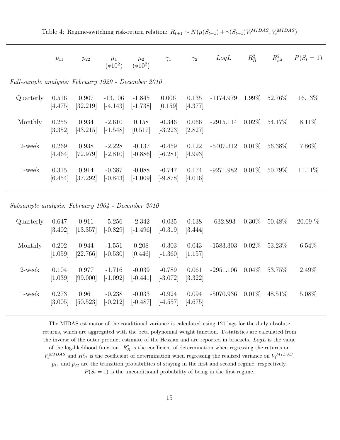Table 4: Regime-switching risk-return relation:  $R_{t+1} \sim N(\mu(S_{t+1}) + \gamma(S_{t+1})V_t^{MIDAS}, V_t^{MIDAS})$ 

|                                                     | $p_{11}$         | $p_{22}$          | $\mu_1$<br>$(*10^2)$    | $\mu_2$<br>$(*10^2)$   | $\gamma_1$             | $\gamma_2$       | LogL        | $R_R^2$  | $R_{\sigma^2}^2$ | $P(S_t = 1)$ |
|-----------------------------------------------------|------------------|-------------------|-------------------------|------------------------|------------------------|------------------|-------------|----------|------------------|--------------|
| Full-sample analysis: February 1929 - December 2010 |                  |                   |                         |                        |                        |                  |             |          |                  |              |
| Quarterly                                           | 0.516<br>[4.475] | 0.907<br>[32.219] | $-13.106$<br>$[-4.143]$ | -1.845<br>$[-1.738]$   | 0.006<br>[0.159]       | 0.135<br>[4.377] | $-1174.979$ | $1.99\%$ | 52.76\%          | 16.13\%      |
| Monthly                                             | 0.255<br>[3.352] | 0.934<br>[43.215] | $-2.610$<br>$[-1.548]$  | 0.158<br>[0.517]       | $-0.346$<br>$[-3.223]$ | 0.066<br>[2.827] | $-2915.114$ | $0.02\%$ | 54.17\%          | $8.11\%$     |
| $2$ -week                                           | 0.269<br>[4.464] | 0.938<br>[72.979] | $-2.228$<br>$[-2.810]$  | $-0.137$<br>$[-0.886]$ | $-0.459$<br>$[-6.281]$ | 0.122<br>[4.993] | $-5407.312$ | $0.01\%$ | $56.38\%$        | 7.86\%       |
| 1-week                                              | 0.315<br>[6.454] | 0.914<br>[37.292] | $-0.387$<br>$[-0.843]$  | $-0.088$<br>$[-1.009]$ | $-0.747$<br>$[-9.878]$ | 0.174<br>[4.016] | $-9271.982$ | $0.01\%$ | $50.79\%$        | 11.11\%      |

Subsample analysis: February 1964 - December 2010

| Quarterly | 0.647<br>[3.402] | 0.911<br>[13.357] | $-5.256$<br>$[-0.829]$ | $-2.342$<br>$[-1.496]$ | $-0.035$<br>$[-0.319]$ | 0.138<br>[3.444] | $-632.893$  | $0.30\%$ | $50.48\%$ | $20.09\%$ |
|-----------|------------------|-------------------|------------------------|------------------------|------------------------|------------------|-------------|----------|-----------|-----------|
| Monthly   | 0.202<br>[1.059] | 0.944<br>[22.766] | $-1.551$<br>$[-0.530]$ | 0.208<br>[0.446]       | $-0.303$<br>$[-1.360]$ | 0.043<br>[1.157] | $-1583.303$ | $0.02\%$ | $53.23\%$ | $6.54\%$  |
| 2-week    | 0.104<br>[1.039] | 0.977<br>[99.000] | $-1.716$<br>$[-1.092]$ | $-0.039$<br>$[-0.441]$ | $-0.789$<br>$[-3.072]$ | 0.061<br>[3.322] | $-2951.106$ | $0.04\%$ | 53.75%    | 2.49\%    |
| 1-week    | 0.273<br>[3.005] | 0.961<br>[50.523] | $-0.238$<br>$[-0.212]$ | $-0.033$<br>$[-0.487]$ | $-0.924$<br>$[-4.557]$ | 0.094<br>[4.675] | $-5070.936$ | $0.01\%$ | 48.51\%   | $5.08\%$  |

The MIDAS estimator of the conditional variance is calculated using 120 lags for the daily absolute returns, which are aggregated with the beta polynomial weight function. T-statistics are calculated from the inverse of the outer product estimate of the Hessian and are reported in brackets.  $LogL$  is the value of the log-likelihood function.  $R_R^2$  is the coefficient of determination when regressing the returns on  $V_t^{MIDAS}$  and  $R_{\sigma^2}^2$  is the coefficient of determination when regressing the realized variance on  $V_t^{MIDAS}$ .  $p_{11}$  and  $p_{22}$  are the transition probabilities of staying in the first and second regime, respectively.  $P(S_t = 1)$  is the unconditional probability of being in the first regime.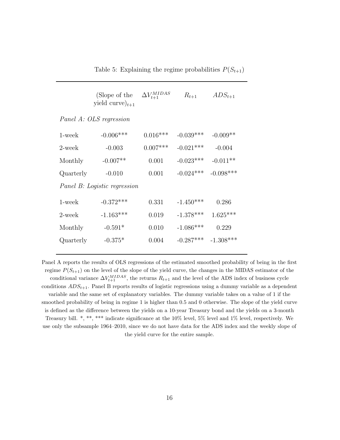Table 5: Explaining the regime probabilities  $P(S_{t+1})$ 

|           | (Slope of the<br>yield curve) $_{t+1}$ | $\Delta V^{MIDAS}_{t+1}$ | $R_{t+1}$   | $ADS_{t+1}$ |
|-----------|----------------------------------------|--------------------------|-------------|-------------|
|           | Panel A: OLS regression                |                          |             |             |
| $1$ -week | $-0.006***$                            | $0.016***$               | $-0.039***$ | $-0.009**$  |
| $2$ -week | $-0.003$                               | $0.007***$               | $-0.021***$ | $-0.004$    |
| Monthly   | $-0.007**$                             | 0.001                    | $-0.023***$ | $-0.011**$  |
| Quarterly | $-0.010$                               | 0.001                    | $-0.024***$ | $-0.098***$ |
|           | Panel B: Logistic regression           |                          |             |             |
| 1-week    | $-0.372***$                            | 0.331                    | $-1.450***$ | 0.286       |
| $2$ -week | $-1.163***$                            | 0.019                    | $-1.378***$ | $1.625***$  |
| Monthly   | $-0.591*$                              | 0.010                    | $-1.086***$ | 0.229       |
| Quarterly | $-0.375*$                              | 0.004                    | $-0.287***$ | $-1.308***$ |

Panel A reports the results of OLS regressions of the estimated smoothed probability of being in the first regime  $P(S_{t+1})$  on the level of the slope of the yield curve, the changes in the MIDAS estimator of the conditional variance  $\Delta V_{t+1}^{MIDAS}$ , the returns  $R_{t+1}$  and the level of the ADS index of business cycle conditions  $ADS_{t+1}$ . Panel B reports results of logistic regressions using a dummy variable as a dependent variable and the same set of explanatory variables. The dummy variable takes on a value of 1 if the smoothed probability of being in regime 1 is higher than 0.5 and 0 otherwise. The slope of the yield curve is defined as the difference between the yields on a 10-year Treasury bond and the yields on a 3-month Treasury bill. \*, \*\*, \*\*\* indicate significance at the 10% level, 5% level and 1% level, respectively. We use only the subsample 1964–2010, since we do not have data for the ADS index and the weekly slope of the yield curve for the entire sample.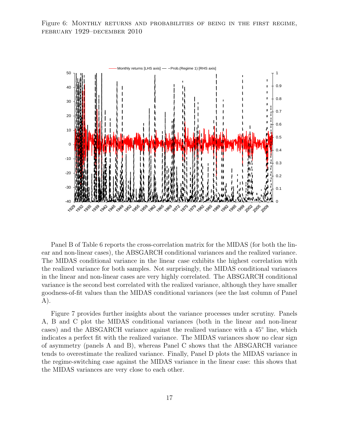Figure 6: MONTHLY RETURNS AND PROBABILITIES OF BEING IN THE FIRST REGIME, february 1929–december 2010



Panel B of Table 6 reports the cross-correlation matrix for the MIDAS (for both the linear and non-linear cases), the ABSGARCH conditional variances and the realized variance. The MIDAS conditional variance in the linear case exhibits the highest correlation with the realized variance for both samples. Not surprisingly, the MIDAS conditional variances in the linear and non-linear cases are very highly correlated. The ABSGARCH conditional variance is the second best correlated with the realized variance, although they have smaller goodness-of-fit values than the MIDAS conditional variances (see the last column of Panel A).

Figure 7 provides further insights about the variance processes under scrutiny. Panels A, B and C plot the MIDAS conditional variances (both in the linear and non-linear cases) and the ABSGARCH variance against the realized variance with a 45◦ line, which indicates a perfect fit with the realized variance. The MIDAS variances show no clear sign of asymmetry (panels A and B), whereas Panel C shows that the ABSGARCH variance tends to overestimate the realized variance. Finally, Panel D plots the MIDAS variance in the regime-switching case against the MIDAS variance in the linear case: this shows that the MIDAS variances are very close to each other.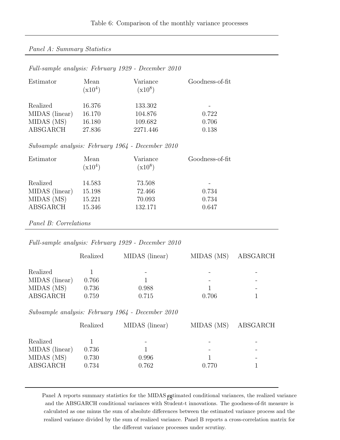#### Panel A: Summary Statistics

#### Full-sample analysis: February 1929 - December 2010

| Estimator      | Mean<br>$(x10^4)$ | Variance<br>$(x10^8)$ | Goodness-of-fit |
|----------------|-------------------|-----------------------|-----------------|
| Realized       | 16.376            | 133.302               |                 |
| MIDAS (linear) | 16.170            | 104.876               | 0.722           |
| MIDAS (MS)     | 16.180            | 109.682               | 0.706           |
| ABSGARCH       | 27.836            | 2271.446              | 0.138           |
|                |                   |                       |                 |

Subsample analysis: February 1964 - December 2010

| Mean<br>$(x10^4)$ | Variance<br>$(x10^8)$ | Goodness-of-fit  |
|-------------------|-----------------------|------------------|
| 14.583            | 73.508                |                  |
|                   |                       | 0.734<br>0.734   |
| 15.346            | 132.171               | 0.647            |
|                   | 15.198<br>15.221      | 72.466<br>70.093 |

Panel B: Correlations

Full-sample analysis: February 1929 - December 2010

|                | Realized | MIDAS (linear) | MIDAS (MS) ABSGARCH |  |
|----------------|----------|----------------|---------------------|--|
| Realized       |          |                |                     |  |
| MIDAS (linear) | 0.766    |                |                     |  |
| MIDAS (MS)     | 0.736    | 0.988          |                     |  |
| ABSGARCH       | 0.759    | 0.715          | 0.706               |  |

Subsample analysis: February 1964 - December 2010

|                | Realized | MIDAS (linear) |       | MIDAS (MS) ABSGARCH |
|----------------|----------|----------------|-------|---------------------|
| Realized       |          |                | -     |                     |
| MIDAS (linear) | 0.736    |                | -     |                     |
| MIDAS (MS)     | 0.730    | 0.996          |       | -                   |
| ABSGARCH       | 0.734    | 0.762          | 0.770 |                     |

Panel A reports summary statistics for the MIDAS estimated conditional variances, the realized variance and the ABSGARCH conditional variances with Student-t innovations. The goodness-of-fit measure is calculated as one minus the sum of absolute differences between the estimated variance process and the realized variance divided by the sum of realized variance. Panel B reports a cross-correlation matrix for the different variance processes under scrutiny.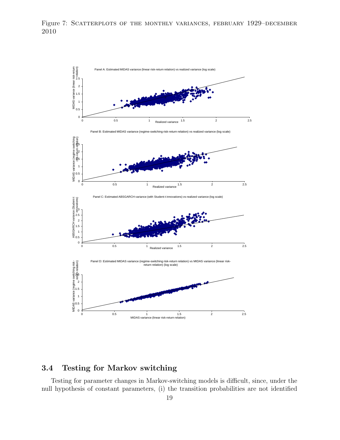



## 3.4 Testing for Markov switching

Testing for parameter changes in Markov-switching models is difficult, since, under the null hypothesis of constant parameters, (i) the transition probabilities are not identified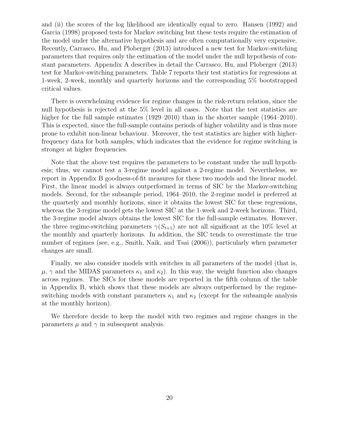and (ii) the scores of the log likelihood are identically equal to zero. Hansen (1992) and Garcia (1998) proposed tests for Markov switching but these tests require the estimation of the model under the alternative hypothesis and are often computationally very expensive. Recently, Carrasco, Hu, and Ploberger (2013) introduced a new test for Markov-switching parameters that requires only the estimation of the model under the null hypothesis of constant parameters. Appendix A describes in detail the Carrasco, Hu, and Ploberger (2013) test for Markov-switching parameters. Table 7 reports their test statistics for regressions at 1-week, 2-week, monthly and quarterly horizons and the corresponding 5% bootstrapped critical values.

There is overwhelming evidence for regime changes in the risk-return relation, since the null hypothesis is rejected at the 5% level in all cases. Note that the test statistics are higher for the full sample estimates (1929–2010) than in the shorter sample (1964–2010). This is expected, since the full-sample contains periods of higher volatility and is thus more prone to exhibit non-linear behaviour. Moreover, the test statistics are higher with higherfrequency data for both samples, which indicates that the evidence for regime switching is stronger at higher frequencies.

Note that the above test requires the parameters to be constant under the null hypothesis; thus, we cannot test a 3-regime model against a 2-regime model. Nevertheless, we report in Appendix B goodness-of-fit measures for these two models and the linear model. First, the linear model is always outperformed in terms of SIC by the Markov-switching models. Second, for the subsample period, 1964–2010, the 2-regime model is preferred at the quarterly and monthly horizons, since it obtains the lowest SIC for these regressions, whereas the 3-regime model gets the lowest SIC at the 1-week and 2-week horizons. Third, the 3-regime model always obtains the lowest SIC for the full-sample estimates. However, the three regime-switching parameters  $\gamma(S_{t+1})$  are not all significant at the 10% level at the monthly and quarterly horizons. In addition, the SIC tends to overestimate the true number of regimes (see, e.g., Smith, Naik, and Tsai (2006)), particularly when parameter changes are small.

Finally, we also consider models with switches in all parameters of the model (that is,  $\mu$ ,  $\gamma$  and the MIDAS parameters  $\kappa_1$  and  $\kappa_2$ ). In this way, the weight function also changes across regimes. The SICs for these models are reported in the fifth column of the table in Appendix B, which shows that these models are always outperformed by the regimeswitching models with constant parameters  $\kappa_1$  and  $\kappa_2$  (except for the subsample analysis at the monthly horizon).

We therefore decide to keep the model with two regimes and regime changes in the parameters  $\mu$  and  $\gamma$  in subsequent analysis.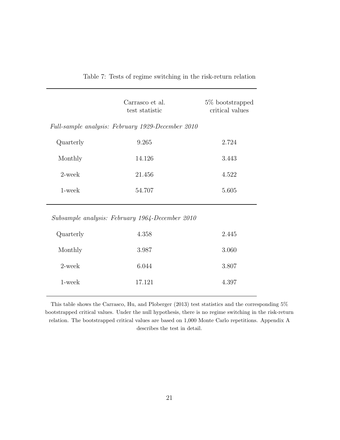Table 7: Tests of regime switching in the risk-return relation

|           | Carrasco et al.<br>test statistic                 | 5\% bootstrapped<br>critical values |
|-----------|---------------------------------------------------|-------------------------------------|
|           | Full-sample analysis: February 1929-December 2010 |                                     |
| Quarterly | 9.265                                             | 2.724                               |
| Monthly   | 14.126                                            | 3.443                               |
| $2$ -week | 21.456                                            | 4.522                               |
| 1-week    | 54.707                                            | 5.605                               |

Subsample analysis: February 1964-December 2010

| Quarterly | 4.358  | 2.445 |
|-----------|--------|-------|
| Monthly   | 3.987  | 3.060 |
| $2$ -week | 6.044  | 3.807 |
| 1-week    | 17.121 | 4.397 |
|           |        |       |

This table shows the Carrasco, Hu, and Ploberger (2013) test statistics and the corresponding 5% bootstrapped critical values. Under the null hypothesis, there is no regime switching in the risk-return relation. The bootstrapped critical values are based on 1,000 Monte Carlo repetitions. Appendix A describes the test in detail.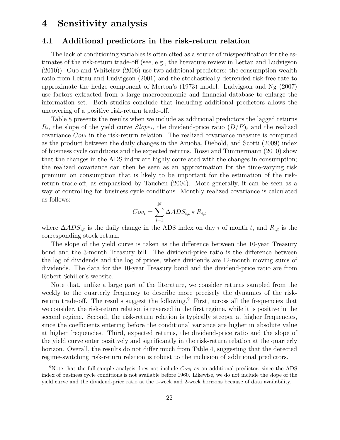## 4 Sensitivity analysis

#### 4.1 Additional predictors in the risk-return relation

The lack of conditioning variables is often cited as a source of misspecification for the estimates of the risk-return trade-off (see, e.g., the literature review in Lettau and Ludvigson (2010)). Guo and Whitelaw (2006) use two additional predictors: the consumption-wealth ratio from Lettau and Ludvigson (2001) and the stochastically detrended risk-free rate to approximate the hedge component of Merton's (1973) model. Ludvigson and Ng (2007) use factors extracted from a large macroeconomic and financial database to enlarge the information set. Both studies conclude that including additional predictors allows the uncovering of a positive risk-return trade-off.

Table 8 presents the results when we include as additional predictors the lagged returns  $R_t$ , the slope of the yield curve  $Slope_t$ , the dividend-price ratio  $(D/P)_t$  and the realized covariance  $Cov_t$  in the risk-return relation. The realized covariance measure is computed as the product between the daily changes in the Aruoba, Diebold, and Scotti (2009) index of business cycle conditions and the expected returns. Rossi and Timmermann (2010) show that the changes in the ADS index are highly correlated with the changes in consumption; the realized covariance can then be seen as an approximation for the time-varying risk premium on consumption that is likely to be important for the estimation of the riskreturn trade-off, as emphasized by Tauchen (2004). More generally, it can be seen as a way of controlling for business cycle conditions. Monthly realized covariance is calculated as follows:

$$
Cov_t = \sum_{i=1}^{N} \Delta ADS_{i,t} * R_{i,t}
$$

where  $\Delta ADS_{i,t}$  is the daily change in the ADS index on day i of month t, and  $R_{i,t}$  is the corresponding stock return.

The slope of the yield curve is taken as the difference between the 10-year Treasury bond and the 3-month Treasury bill. The dividend-price ratio is the difference between the log of dividends and the log of prices, where dividends are 12-month moving sums of dividends. The data for the 10-year Treasury bond and the dividend-price ratio are from Robert Schiller's website.

Note that, unlike a large part of the literature, we consider returns sampled from the weekly to the quarterly frequency to describe more precisely the dynamics of the riskreturn trade-off. The results suggest the following.<sup>9</sup> First, across all the frequencies that we consider, the risk-return relation is reversed in the first regime, while it is positive in the second regime. Second, the risk-return relation is typically steeper at higher frequencies, since the coefficients entering before the conditional variance are higher in absolute value at higher frequencies. Third, expected returns, the dividend-price ratio and the slope of the yield curve enter positively and significantly in the risk-return relation at the quarterly horizon. Overall, the results do not differ much from Table 4, suggesting that the detected regime-switching risk-return relation is robust to the inclusion of additional predictors.

<sup>&</sup>lt;sup>9</sup>Note that the full-sample analysis does not include  $Cov_t$  as an additional predictor, since the ADS index of business cycle conditions is not available before 1960. Likewise, we do not include the slope of the yield curve and the dividend-price ratio at the 1-week and 2-week horizons because of data availability.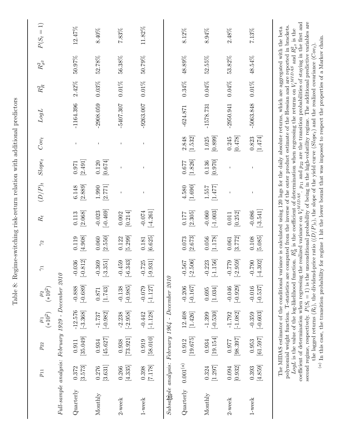|                                                                      | $p_{11}$           | $p_{22}$                       | $\frac{\mu_1}{(*10^2)}$           | $\mu_2$ (*10 <sup>2</sup> )                | $\widetilde{\gamma}$              | $\approx$        | $R_{t}$                | $(D/P)_t$          | $Slope_t$          | $Cov_t$            | $LogL$                                                                                                                                                                                                                                                                                                                                                                                                                                                                                                                                                                                                                                                     | $R_{\cal R}^2$ | $R_{\sigma^2}^2$ | $P(S_t=1)$ |
|----------------------------------------------------------------------|--------------------|--------------------------------|-----------------------------------|--------------------------------------------|-----------------------------------|------------------|------------------------|--------------------|--------------------|--------------------|------------------------------------------------------------------------------------------------------------------------------------------------------------------------------------------------------------------------------------------------------------------------------------------------------------------------------------------------------------------------------------------------------------------------------------------------------------------------------------------------------------------------------------------------------------------------------------------------------------------------------------------------------------|----------------|------------------|------------|
| Full-sample analysis: February 1929 - December 2010                  |                    |                                |                                   |                                            |                                   |                  |                        |                    |                    |                    |                                                                                                                                                                                                                                                                                                                                                                                                                                                                                                                                                                                                                                                            |                |                  |            |
| Quarterly                                                            | [3.573]<br>0.372   | [35.049]<br>0.911              | $-12.576$<br>$[-3.368]$           | $[-0.689]$<br>$-0.888$                     | $\left[-0.812\right]$<br>$-0.036$ | [4.908]<br>0.119 | $[2.068]$<br>0.113     | $[2.889]$<br>6.148 | $[2.491]$<br>0.971 |                    | $-1164.396$                                                                                                                                                                                                                                                                                                                                                                                                                                                                                                                                                                                                                                                | $2.42\%$       | 50.97%           | 12.47%     |
| Monthly                                                              | [3.631]<br>0.276   | [45.627]<br>0.934              | $[-0.982]$<br>$-1.737$            | [1.743]<br>0.871                           | $[-3.351]$<br>$-0.369$            | [2.550]<br>0.060 | $[-0.469]$<br>$-0.023$ | $[2.771]$<br>1.990 | [0.674]<br>0.120   |                    | $-2908.059$                                                                                                                                                                                                                                                                                                                                                                                                                                                                                                                                                                                                                                                | $0.03\%$       | 52.78%           | 8.40%      |
| $2$ -week                                                            | [4.335]<br>0.266   | $\left[73.921\right]$<br>0.938 | $[-2.958]$<br>$-2.238$            | $[-0.985]$<br>$-0.138$                     | $[-6.343]$<br>$-0.459$            | [5.299]<br>0.122 | [0.214]<br>0.002       |                    |                    |                    | $-5407.307$                                                                                                                                                                                                                                                                                                                                                                                                                                                                                                                                                                                                                                                | $0.01\%$       | 56.38%           | $7.83\%$   |
| $1$ -week                                                            | $[7.178]$<br>0.398 | $[58.010]$<br>0.919            | $[-1.128]$<br>$-0.442$            | $[-1.127]$<br>$-0.079$                     | $\left[-9.931\right]$<br>$-0.725$ | [6.625]<br>0.181 | $[-4.261]$<br>$-0.074$ |                    |                    |                    | $-9263.007$                                                                                                                                                                                                                                                                                                                                                                                                                                                                                                                                                                                                                                                | $0.01\%$       | 50.79%           | $11.82\%$  |
| $Subsak\ddot{g}ple\ analysis\colon\ February\ 1964 - December\ 2010$ |                    |                                |                                   |                                            |                                   |                  |                        |                    |                    |                    |                                                                                                                                                                                                                                                                                                                                                                                                                                                                                                                                                                                                                                                            |                |                  |            |
| Quarterly                                                            | $0.001^{(a)}$      | [19.675]<br>0.912              | 12.408<br>$\left[ 1.426\right]$   | $\left[ \text{-}0.167 \right]$<br>$-0.206$ | $[-2.506]$<br>$-0.567$            | [2.673]<br>0.073 | [2.305]<br>0.177       | $[1.690]$<br>4.580 | [1.826]<br>0.677   | [1.532]<br>2.848   | $-624.871$                                                                                                                                                                                                                                                                                                                                                                                                                                                                                                                                                                                                                                                 | $0.34\%$       | 48.89%           | $8.12\%$   |
| Monthly                                                              | [1.297]<br>0.324   | $\left[19.154\right]$<br>0.934 | $\left[-0.530\right]$<br>$-1.399$ | $\left[ 1.034\right]$<br>0.695             | $[-1.156]$<br>$-0.223$            | [1.178]<br>0.056 | $[-1.003]$<br>$-0.060$ | [1.477]<br>1.557   | [0.970]<br>0.136   | [0.899]<br>1.025   | $-1578.731$                                                                                                                                                                                                                                                                                                                                                                                                                                                                                                                                                                                                                                                | $0.04\%$       | 52.55%           | $8.94\%$   |
| $2$ -week                                                            | [0.932]<br>0.094   | [98.397]<br>0.977              | $[-1.082]$<br>$-1.792$            | $[-0.929]$<br>$-0.046$                     | $[-2.959]$<br>$-0.779$            | [3.772]<br>0.061 | [0.252]<br>$0.011\,$   |                    |                    | $[0.478]$<br>0.245 | $-2950.941$                                                                                                                                                                                                                                                                                                                                                                                                                                                                                                                                                                                                                                                | $0.04\%$       | 53.82%           | 2.48%      |
| $1$ -week                                                            | [4.859]<br>0.393   | [61.597]<br>0.953              | $\left[-0.603\right]$<br>$-0.359$ | $[-0.537]$<br>$-0.016$                     | $[-4.302]$<br>$-0.790$            | [5.085]<br>0.108 | $[-3.541]$<br>$-0.086$ |                    |                    | [1.474]<br>0.823   | $-5063.848$                                                                                                                                                                                                                                                                                                                                                                                                                                                                                                                                                                                                                                                | $0.01\%$       | 48.54%           | $7.13\%$   |
|                                                                      |                    |                                |                                   |                                            |                                   |                  |                        |                    |                    |                    | coefficient of determination when regressing the realized variance on $V_t^{MIDAS}$ . $p_{11}$ and $p_{22}$ are the transition probabilities of staying in the first and<br>polynomial weight function. T-statistics are computed from the inverse of the outer product estimate of the Hessian and are reported in brackets.<br>The MIDAS estimator of the conditional variance is calculated using 120 lags for the daily absolute returns, which are aggregated with the beta<br>LogL is the value of the log-likelihood function. $R_R^2$ is the coefficient of determination when regressing the returns on $V_t^{MIDAS}$ and $R_{\sigma^2}^2$ is the |                |                  |            |

Table 8: Regime-switching risk-return relation with additional predictors Table 8: Regime-switching risk-return relation with additional predictors

 $P(S_t = 1)$  is the unconditional probability of being in the high-volatility regime. The additional predictive variables are (a) In this case, the transition probability for regime 1 hit the lower bound that was imposed to respect the properties of a Markov chain. (a) In this case, the transition probability for regime 1 hit the lower bound that was imposed to respect the properties of a Markov chain.  $R_t$ ), the dividend-price ratio  $((D/P)_t)$ , the slope of the yield curve (Slope<sub>t</sub>) and the realized covariance (Cov<sub>t</sub>). the lagged returns  $(I$ 

second regime, respectively.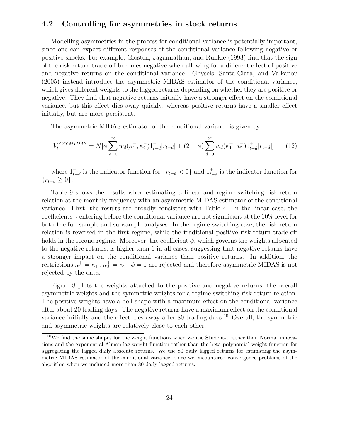#### 4.2 Controlling for asymmetries in stock returns

Modelling asymmetries in the process for conditional variance is potentially important, since one can expect different responses of the conditional variance following negative or positive shocks. For example, Glosten, Jagannathan, and Runkle (1993) find that the sign of the risk-return trade-off becomes negative when allowing for a different effect of positive and negative returns on the conditional variance. Ghysels, Santa-Clara, and Valkanov (2005) instead introduce the asymmetric MIDAS estimator of the conditional variance, which gives different weights to the lagged returns depending on whether they are positive or negative. They find that negative returns initially have a stronger effect on the conditional variance, but this effect dies away quickly; whereas positive returns have a smaller effect initially, but are more persistent.

The asymmetric MIDAS estimator of the conditional variance is given by:

$$
V_t^{ASYMIDAS} = N[\phi \sum_{d=0}^{\infty} w_d(\kappa_1^-, \kappa_2^-) 1_{t-d}^- | r_{t-d}| + (2 - \phi) \sum_{d=0}^{\infty} w_d(\kappa_1^+, \kappa_2^+) 1_{t-d}^+ | r_{t-d}|] \tag{12}
$$

where  $1_{t-d}^-$  is the indicator function for  $\{r_{t-d} < 0\}$  and  $1_{t-d}^+$  is the indicator function for  ${r_{t-d} \geq 0}.$ 

Table 9 shows the results when estimating a linear and regime-switching risk-return relation at the monthly frequency with an asymmetric MIDAS estimator of the conditional variance. First, the results are broadly consistent with Table 4. In the linear case, the coefficients  $\gamma$  entering before the conditional variance are not significant at the 10% level for both the full-sample and subsample analyses. In the regime-switching case, the risk-return relation is reversed in the first regime, while the traditional positive risk-return trade-off holds in the second regime. Moreover, the coefficient  $\phi$ , which governs the weights allocated to the negative returns, is higher than 1 in all cases, suggesting that negative returns have a stronger impact on the conditional variance than positive returns. In addition, the restrictions  $\kappa_1^+ = \kappa_1^-$ ,  $\kappa_2^+ = \kappa_2^-$ ,  $\phi = 1$  are rejected and therefore asymmetric MIDAS is not rejected by the data.

Figure 8 plots the weights attached to the positive and negative returns, the overall asymmetric weights and the symmetric weights for a regime-switching risk-return relation. The positive weights have a bell shape with a maximum effect on the conditional variance after about 20 trading days. The negative returns have a maximum effect on the conditional variance initially and the effect dies away after 80 trading days.<sup>10</sup> Overall, the symmetric and asymmetric weights are relatively close to each other.

<sup>&</sup>lt;sup>10</sup>We find the same shapes for the weight functions when we use Student-t rather than Normal innovations and the exponential Almon lag weight function rather than the beta polynomial weight function for aggregating the lagged daily absolute returns. We use 80 daily lagged returns for estimating the asymmetric MIDAS estimator of the conditional variance, since we encountered convergence problems of the algorithm when we included more than 80 daily lagged returns.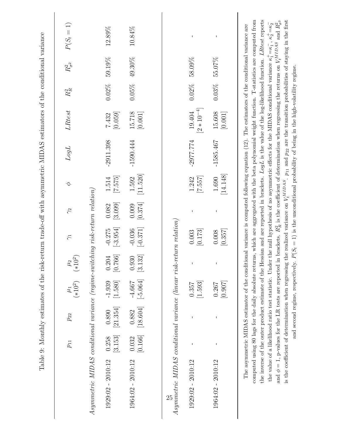|                                                                                                                                                      | $p_{11}$         | $p_{22}$          | $\frac{\mu_1}{(*10^2)}$ | $\mu_2$ $\left(*10^2\right)$ | $\zeta$                | $\gamma_2$       |                   | LogL                                                                                                                                           | LRtest                    | $R_{\cal R}^2$ | $R^2_{\sigma^2}$ | $P(S_t = 1)$ |
|------------------------------------------------------------------------------------------------------------------------------------------------------|------------------|-------------------|-------------------------|------------------------------|------------------------|------------------|-------------------|------------------------------------------------------------------------------------------------------------------------------------------------|---------------------------|----------------|------------------|--------------|
| $A symmetric MIDAS conditional variance (regime-switching risk-return relation)$                                                                     |                  |                   |                         |                              |                        |                  |                   |                                                                                                                                                |                           |                |                  |              |
| $1929:02 - 2010:12$                                                                                                                                  | [3.153]<br>0.258 | [21.354]<br>0.890 | [1.580]<br>$-1.939$     | [0.766]<br>0.204             | $[-3.954]$<br>$-0.275$ | [3.099]<br>0.082 | [7.575]<br>1.514  | $-2911.398$                                                                                                                                    | [0.059]<br>7.432          | $0.02\%$       | 59.19%           | 12.89%       |
| 1964:02 - 2010:12                                                                                                                                    | [0.166]<br>0.032 | [18.604]<br>0.882 | $[-5.064]$<br>$-4.667$  | [3.132]<br>0.930             | $[-0.371]$<br>$-0.036$ | [0.374]<br>0.009 | [11.520]<br>1.592 | $-1590.444$                                                                                                                                    | 15.718<br>[0.001]         | $0.05\%$       | 49.30%           | 10.84%       |
|                                                                                                                                                      |                  |                   |                         |                              |                        |                  |                   |                                                                                                                                                |                           |                |                  |              |
| Asymmetric MIDAS conditional variance (linear risk-return relation)                                                                                  |                  |                   |                         |                              |                        |                  |                   |                                                                                                                                                |                           |                |                  |              |
| $1929:02 - 2010:12$                                                                                                                                  | $\mathbf I$      |                   | $[1.593]$<br>0.357      | $\mathbf I$                  | [0.173]<br>0.003       |                  | 7.55.7 <br>1.242  | $-2977.774$                                                                                                                                    | $[2 * 10^{-4}]$<br>19.404 | $0.02\%$       | 58.09%           | $\mathbf I$  |
| $1964:02 - 2010:12$                                                                                                                                  | $\mathsf I$      | Ţ                 | [0.907]<br>0.267        | $\bar{\rm I}$                | [0.357]<br>0.008       |                  | [14.148]<br>1.690 | $-1585.467$                                                                                                                                    | 15.608<br>[0.001]         | $0.03\%$       | 55.07%           | $\mathbf{I}$ |
| computed using 80 lags for the daily absolute returns, which are aggregated with the beta polynomial weight function. T-statistics are computed from |                  |                   |                         |                              |                        |                  |                   | The asymmetric MIDAS estimator of the conditional variance is computed following equation (12). The estimators of the conditional variance are |                           |                |                  |              |

 $\phi = 1,$  p-values for the LR tests are reported in brackets.  $R_{\rm R}^2$  $\tilde{f}_R$  is the coefficient of determination when regressing the returns on  $\tilde{f}_R$ .  $V_t^{MIDAS}$  and  $R^{2}_{\sigma^{2}}$ is the coefficient of determination when regressing the realized variance on  $V_t^{MIDAS}$ and second regime, respectively.  $P(S_t = 1)$  is the unconditional probability of being in the high-volatility regime. .  $p_{11}$  and p22 are the transition probabilities of staying in the first and second regime, respectively.  $P(S_t = 1)$  is the unconditional probability of being in the high-volatility regime.

the inverse of the outer product estimate of the Hessian and are reported in brackets. LogL is the value of the log-likelihood function. LRtest reports

the value of a likelihood ratio test statistic. Under the null hypothesis of no asymmetric effects for the MIDAS conditional variance

and φ

 $\kappa_1^+ = \kappa_1^-, \; \kappa_2^+ = \kappa_2^ \overline{1}$ 

 $\overline{\phantom{a}}$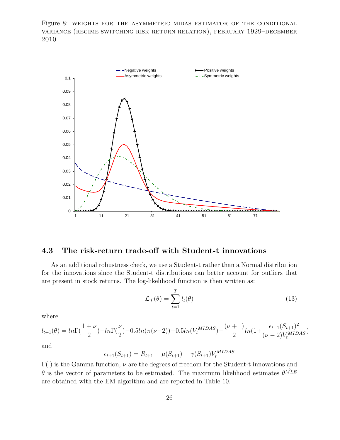Figure 8: weights for the asymmetric midas estimator of the conditional variance (regime switching risk-return relation), february 1929–december 2010



### 4.3 The risk-return trade-off with Student-t innovations

As an additional robustness check, we use a Student-t rather than a Normal distribution for the innovations since the Student-t distributions can better account for outliers that are present in stock returns. The log-likelihood function is then written as:

$$
\mathcal{L}_{\mathcal{T}}(\theta) = \sum_{t=1}^{T} l_t(\theta) \tag{13}
$$

where

$$
l_{t+1}(\theta) = ln \Gamma(\frac{1+\nu}{2}) - ln \Gamma(\frac{\nu}{2}) - 0.5ln(\pi(\nu-2)) - 0.5ln(V_t^{MIDAS}) - \frac{(\nu+1)}{2}ln(1 + \frac{\epsilon_{t+1}(S_{t+1})^2}{(\nu-2)V_t^{MIDAS}})
$$

and

$$
\epsilon_{t+1}(S_{t+1}) = R_{t+1} - \mu(S_{t+1}) - \gamma(S_{t+1})V_t^{MIDAS}
$$

 $\Gamma(.)$  is the Gamma function,  $\nu$  are the degrees of freedom for the Student-t innovations and  $\theta$  is the vector of parameters to be estimated. The maximum likelihood estimates  $\theta^{\hat{MLE}}$ are obtained with the EM algorithm and are reported in Table 10.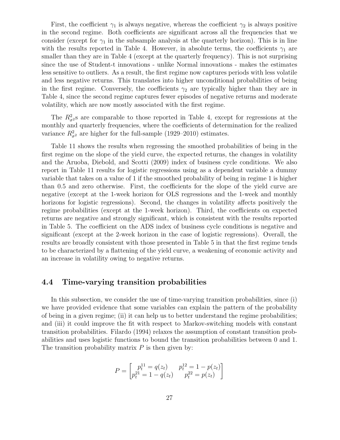First, the coefficient  $\gamma_1$  is always negative, whereas the coefficient  $\gamma_2$  is always positive in the second regime. Both coefficients are significant across all the frequencies that we consider (except for  $\gamma_1$  in the subsample analysis at the quarterly horizon). This is in line with the results reported in Table 4. However, in absolute terms, the coefficients  $\gamma_1$  are smaller than they are in Table 4 (except at the quarterly frequency). This is not surprising since the use of Student-t innovations - unlike Normal innovations - makes the estimates less sensitive to outliers. As a result, the first regime now captures periods with less volatile and less negative returns. This translates into higher unconditional probabilities of being in the first regime. Conversely, the coefficients  $\gamma_2$  are typically higher than they are in Table 4, since the second regime captures fewer episodes of negative returns and moderate volatility, which are now mostly associated with the first regime.

The  $R^2_{\sigma^2}$ s are comparable to those reported in Table 4, except for regressions at the monthly and quarterly frequencies, where the coefficients of determination for the realized variance  $R_{\sigma^2}^2$  are higher for the full-sample (1929–2010) estimates.

Table 11 shows the results when regressing the smoothed probabilities of being in the first regime on the slope of the yield curve, the expected returns, the changes in volatility and the Aruoba, Diebold, and Scotti (2009) index of business cycle conditions. We also report in Table 11 results for logistic regressions using as a dependent variable a dummy variable that takes on a value of 1 if the smoothed probability of being in regime 1 is higher than 0.5 and zero otherwise. First, the coefficients for the slope of the yield curve are negative (except at the 1-week horizon for OLS regressions and the 1-week and monthly horizons for logistic regressions). Second, the changes in volatility affects positively the regime probabilities (except at the 1-week horizon). Third, the coefficients on expected returns are negative and strongly significant, which is consistent with the results reported in Table 5. The coefficient on the ADS index of business cycle conditions is negative and significant (except at the 2-week horizon in the case of logistic regressions). Overall, the results are broadly consistent with those presented in Table 5 in that the first regime tends to be characterized by a flattening of the yield curve, a weakening of economic activity and an increase in volatility owing to negative returns.

#### 4.4 Time-varying transition probabilities

In this subsection, we consider the use of time-varying transition probabilities, since (i) we have provided evidence that some variables can explain the pattern of the probability of being in a given regime; (ii) it can help us to better understand the regime probabilities; and (iii) it could improve the fit with respect to Markov-switching models with constant transition probabilities. Filardo (1994) relaxes the assumption of constant transition probabilities and uses logistic functions to bound the transition probabilities between 0 and 1. The transition probability matrix  $P$  is then given by:

$$
P = \begin{bmatrix} p_t^{11} = q(z_t) & p_t^{12} = 1 - p(z_t) \\ p_t^{21} = 1 - q(z_t) & p_t^{22} = p(z_t) \end{bmatrix}
$$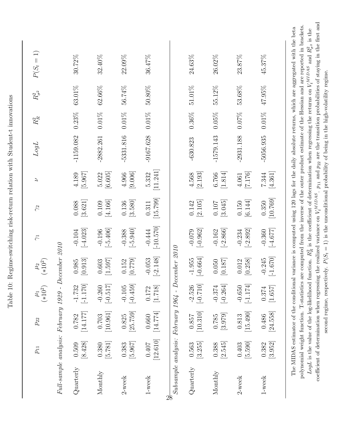|                                                     | $p_{11}$           | $p_{22}$                       | $\mu_1$ (*10 <sup>2</sup> ) | $(*10^2)$<br>$\mu_2$               | $\widetilde{\gamma}$    | $\gamma$ <sup>2</sup>          | $\overline{a}$                | $LogL$      | $R_{\cal R}^2$ | $R^2_{\sigma^2}$ | $P(S_t = 1)$                                                                                                                                                                                                                                                                                                                                                                                                                                                                 |
|-----------------------------------------------------|--------------------|--------------------------------|-----------------------------|------------------------------------|-------------------------|--------------------------------|-------------------------------|-------------|----------------|------------------|------------------------------------------------------------------------------------------------------------------------------------------------------------------------------------------------------------------------------------------------------------------------------------------------------------------------------------------------------------------------------------------------------------------------------------------------------------------------------|
| Full-sample analysis: February 1929 - December 2010 |                    |                                |                             |                                    |                         |                                |                               |             |                |                  |                                                                                                                                                                                                                                                                                                                                                                                                                                                                              |
| Quarterly                                           | [8.428]<br>0.509   | [14.177]<br>0.782              | $[-1.170]$<br>$-1.732$      | $\left[ 0.913\right]$<br>0.985     | $[-4.023]$<br>$-0.104$  | [3.621]<br>0.088               | [5.967]<br>4.189              | $-1159.082$ | $0.23\%$       | $63.01\%$        | $30.72\%$                                                                                                                                                                                                                                                                                                                                                                                                                                                                    |
| Monthly                                             | $[5.781]$<br>0.380 | $\left[10.961\right]$<br>0.703 | $[-0.517]$<br>$-0.260$      | [1.597]<br>0.603                   | $[-5.406]$<br>$-0.196$  | [4.166]<br>0.109               | [6.605]<br>5.022              | $-2882.261$ | $0.01\%$       | 62.66%           | 32.40%                                                                                                                                                                                                                                                                                                                                                                                                                                                                       |
| $2$ -week                                           | [5.967]<br>0.383   | [25.759]<br>0.825              | $[-0.459]$<br>$-0.105$      | [0.779]<br>0.152                   | $[-5.940]$<br>$-0.388$  | [3.580]<br>0.136               | [9.006]<br>4.966              | $-5331.816$ | $0.01\%$       | 56.74%           | 22.09%                                                                                                                                                                                                                                                                                                                                                                                                                                                                       |
| 1-week                                              | [12.610]<br>0.407  | [14.774]<br>0.660              | [1.718]<br>0.172            | $[-2.148]$<br>$-0.053$             | $[-10.570]$<br>$-0.444$ | [15.799]<br>0.311              | [11.241]<br>5.332             | $-9167.628$ | $0.01\%$       | $50.80\%$        | 36.47%                                                                                                                                                                                                                                                                                                                                                                                                                                                                       |
| Subsample analysis: February 1964 - December 2010   |                    |                                |                             |                                    |                         |                                |                               |             |                |                  |                                                                                                                                                                                                                                                                                                                                                                                                                                                                              |
| Quarterly                                           | [3.255]<br>0.563   | [10.310]<br>0.857              | $[-0.710]$<br>$-2.526$      | $\left[-0.664\right]$<br>$-1.955$  | $[-0.962]$<br>$-0.079$  | [2.105]<br>0.142               | [2.193]<br>4.568              | $-630.823$  | $0.36\%$       | 51.01%           | 24.63%                                                                                                                                                                                                                                                                                                                                                                                                                                                                       |
| Monthly                                             | [2.545]<br>0.388   | [3.979]<br>0.785               | $[-0.264]$<br>$-0.374$      | [0.187]<br>0.050                   | $[-2.866]$<br>$-0.162$  | [3.045]<br>$0.107\,$           | $\left[1.814\right]$<br>6.766 | $-1579.143$ | $0.05\%$       | 55.12%           | 26.02%                                                                                                                                                                                                                                                                                                                                                                                                                                                                       |
| $2$ -week                                           | $[5.590]$<br>0.403 | [15.490]<br>0.813              | $[-1.174]$<br>$-0.650$      | [0.258]<br>0.012                   | $[-2.892]$<br>$-0.234$  | $\left[ 6.144\right]$<br>0.150 | [7.176]<br>4.061              | $-2931.188$ | $0.07\%$       | 53.68%           | 23.87%                                                                                                                                                                                                                                                                                                                                                                                                                                                                       |
| 1-week                                              | [3.952]<br>0.382   | [24.558]<br>0.486              | [1.657]<br>0.374            | $\left[ -1.670\right]$<br>$-0.245$ | $[-4.677]$<br>$-0.360$  | [10.769]<br>0.350              | [4.361]<br>7.344              | $-5056.935$ | $0.01\%$       | $47.95\%$        | 45.37%                                                                                                                                                                                                                                                                                                                                                                                                                                                                       |
|                                                     |                    |                                |                             |                                    |                         |                                |                               |             |                |                  | polynomial weight function. T-statistics are computed from the inverse of the outer product estimate of the Hessian and are reported in brackets.<br>The MIDAS estimator of the conditional variance is computed using 120 lags for the daily absolute returns, which are aggregated with the beta<br>LogL is the value of the log-likelihood function. $R_R^2$ is the coefficient of determination when regressing the returns on $V_t^{MIDAS}$ and $R_{\sigma^2}^2$ is the |

Table 10: Regime-switching risk-return relation with Student-t innovations Table 10: Regime-switching risk-return relation with Student-t innovations

coefficient of determination when regressing the realized variance on  $V_t^{MIDAS}$ second regime, respectively.  $P(S_t = 1)$  is the unconditional probability of being in the high-volatility regime. .  $p_{11}$  and p22 are the transition probabilities of staying in the first and second regime, respectively.  $P(S_t = 1)$  is the unconditional probability of being in the high-volatility regime.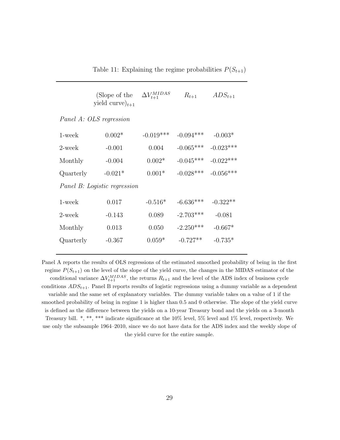Table 11: Explaining the regime probabilities  $P(S_{t+1})$ 

|           | (Slope of the<br>yield curve) $_{t+1}$ | $\Delta V^{MIDAS}_{t+1}$ | $R_{t+1}$   | $ADS_{t+1}$ |
|-----------|----------------------------------------|--------------------------|-------------|-------------|
|           | Panel A: OLS regression                |                          |             |             |
| 1-week    | $0.002*$                               | $-0.019***$              | $-0.094***$ | $-0.003*$   |
| 2-week    | $-0.001$                               | 0.004                    | $-0.065***$ | $-0.023***$ |
| Monthly   | $-0.004$                               | $0.002*$                 | $-0.045***$ | $-0.022***$ |
| Quarterly | $-0.021*$                              | $0.001*$                 | $-0.028***$ | $-0.056***$ |
|           | Panel B: Logistic regression           |                          |             |             |
| $1$ -week | 0.017                                  | $-0.516*$                | $-6.636***$ | $-0.322**$  |
| 2-week    | $-0.143$                               | 0.089                    | $-2.703***$ | $-0.081$    |
| Monthly   | 0.013                                  | 0.050                    | $-2.250***$ | $-0.667*$   |
| Quarterly | $-0.367$                               | $0.059*$                 | $-0.727**$  | $-0.735*$   |
|           |                                        |                          |             |             |

Panel A reports the results of OLS regressions of the estimated smoothed probability of being in the first regime  $P(S_{t+1})$  on the level of the slope of the yield curve, the changes in the MIDAS estimator of the conditional variance  $\Delta V_{t+1}^{MIDAS}$ , the returns  $R_{t+1}$  and the level of the ADS index of business cycle conditions  $ADS_{t+1}$ . Panel B reports results of logistic regressions using a dummy variable as a dependent variable and the same set of explanatory variables. The dummy variable takes on a value of 1 if the smoothed probability of being in regime 1 is higher than 0.5 and 0 otherwise. The slope of the yield curve is defined as the difference between the yields on a 10-year Treasury bond and the yields on a 3-month Treasury bill. \*, \*\*, \*\*\* indicate significance at the 10% level, 5% level and 1% level, respectively. We use only the subsample 1964–2010, since we do not have data for the ADS index and the weekly slope of the yield curve for the entire sample.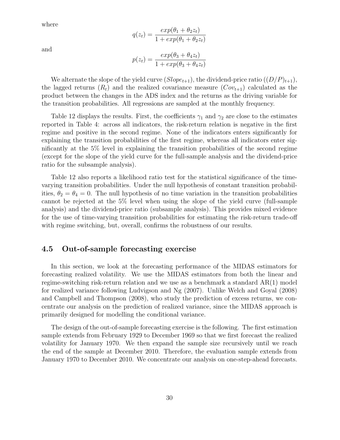where

$$
q(z_t) = \frac{exp(\theta_1 + \theta_2 z_t)}{1 + exp(\theta_1 + \theta_2 z_t)}
$$

and

$$
p(z_t) = \frac{exp(\theta_3 + \theta_4 z_t)}{1 + exp(\theta_3 + \theta_4 z_t)}
$$

We alternate the slope of the yield curve  $(Slope_{t+1})$ , the dividend-price ratio  $((D/P)_{t+1})$ , the lagged returns  $(R_t)$  and the realized covariance measure  $(Cov_{t+1})$  calculated as the product between the changes in the ADS index and the returns as the driving variable for the transition probabilities. All regressions are sampled at the monthly frequency.

Table 12 displays the results. First, the coefficients  $\gamma_1$  and  $\gamma_2$  are close to the estimates reported in Table 4: across all indicators, the risk-return relation is negative in the first regime and positive in the second regime. None of the indicators enters significantly for explaining the transition probabilities of the first regime, whereas all indicators enter significantly at the 5% level in explaining the transition probabilities of the second regime (except for the slope of the yield curve for the full-sample analysis and the dividend-price ratio for the subsample analysis).

Table 12 also reports a likelihood ratio test for the statistical significance of the timevarying transition probabilities. Under the null hypothesis of constant transition probabilities,  $\theta_2 = \theta_4 = 0$ . The null hypothesis of no time variation in the transition probabilities cannot be rejected at the 5% level when using the slope of the yield curve (full-sample analysis) and the dividend-price ratio (subsample analysis). This provides mixed evidence for the use of time-varying transition probabilities for estimating the risk-return trade-off with regime switching, but, overall, confirms the robustness of our results.

#### 4.5 Out-of-sample forecasting exercise

In this section, we look at the forecasting performance of the MIDAS estimators for forecasting realized volatility. We use the MIDAS estimators from both the linear and regime-switching risk-return relation and we use as a benchmark a standard AR(1) model for realized variance following Ludvigson and Ng (2007). Unlike Welch and Goyal (2008) and Campbell and Thompson (2008), who study the prediction of excess returns, we concentrate our analysis on the prediction of realized variance, since the MIDAS approach is primarily designed for modelling the conditional variance.

The design of the out-of-sample forecasting exercise is the following. The first estimation sample extends from February 1929 to December 1969 so that we first forecast the realized volatility for January 1970. We then expand the sample size recursively until we reach the end of the sample at December 2010. Therefore, the evaluation sample extends from January 1970 to December 2010. We concentrate our analysis on one-step-ahead forecasts.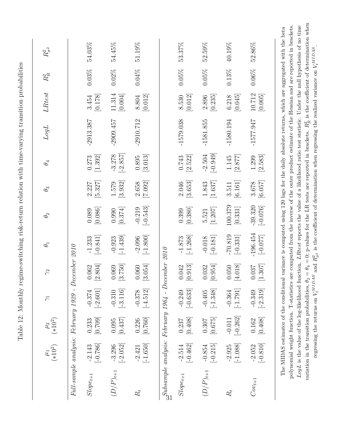|                                                                  | $\frac{\mu_1}{(*10^2)}$                             | $\frac{\mu_2}{(*10^2)}$ | $\widetilde{\gamma}$   | $\gamma$ <sup>2</sup>                 | $\theta_1$               | $\theta_2$              | $\theta_3$         | $\theta_4$             | $LogL$      | LRtest            | $R_{\rm R}^2$ | $R^2_{\sigma^2}$ |
|------------------------------------------------------------------|-----------------------------------------------------|-------------------------|------------------------|---------------------------------------|--------------------------|-------------------------|--------------------|------------------------|-------------|-------------------|---------------|------------------|
|                                                                  | Full-sample analysis: February 1929 - December 2010 |                         |                        |                                       |                          |                         |                    |                        |             |                   |               |                  |
| $Slope_{t+1}$                                                    | $[-0.786]$<br>$-2.143$                              | [607.0]<br>0.233        | $[-2.601]$<br>$-0.374$ | 2.804<br>1.062<br>$\overline{\omega}$ | $[-0.841]$<br>$-1.233$   | [0.086]<br>0.089        | [5.327]<br>2.227   | [1.392]<br>0.273       | $-2913.387$ | [0.178]<br>3.454  | $0.03\%$      | 54.03%           |
| $(D/P)_{t+1}$                                                    | $[-2.052]$<br>$-3.296$                              | [0.437]<br>0.095        | $[-3.116]$<br>$-0.310$ | [022:<br>1.069<br>$\mathbb{C}$        | $[-1.439]$<br>$-0.923$   | [0.374]<br>0.990        | [3.932]<br>1.579   | $[-2.857]$<br>$-3.278$ | $-2909.457$ | 11.314<br>[0.004] | $0.02\%$      | 54.45%           |
| $R_{t}$                                                          | $[-1.650]$<br>$-2.421$                              | [0.760]<br>0.226        | $[-4.512]$<br>$-0.378$ | 0.054<br>0.060<br>$\overline{\omega}$ | $[-1.800]$<br>$-2.096$   | $[-0.543]$<br>$-0.219$  | [7.092]<br>2.658   | [3.013]<br>0.895       | $-2910.712$ | [0.012]<br>8.804  | $0.04\%$      | 51.19%           |
| $\mathcal{S}^{ubsample}$ analysis: February 1964 - December 2010 |                                                     |                         |                        |                                       |                          |                         |                    |                        |             |                   |               |                  |
| $Slope_{t+1}$                                                    | $[-0.462]$<br>$-2.514$                              | [0.408]<br>0.237        | $[-0.633]$<br>$-0.249$ | .913<br>1.042<br>$\subseteq$          | $[-1.268]$<br>$-1.873$   | [0.380]<br>0.399        | [3.653]<br>2.046   | [2.522]<br>0.743       | $-1579.038$ | [0.012]<br>8.530  | $0.05\%$      | 53.37%           |
| $(D/P)_{t+1}$                                                    | $[-0.215]$<br>$-0.854$                              | [0.675]<br>0.307        | $[-1.348]$<br>$-0.405$ | .954<br>0.32<br>$\subseteq$           | $[-0.181]$<br>$-0.018$   | [1.207]<br>5.521        | [1.637]<br>1.843   | $[-0.949]$<br>$-2.504$ | $-1581.855$ | [0.235]<br>2.896  | $0.05\%$      | 52.59%           |
| $R_{t}$                                                          | $[-1.088]$<br>$-2.925$                              | $[-0.262]$<br>$-0.011$  | $[-1.791]$<br>$-0.364$ | [4.018]<br>050                        | $-70.819$<br>$[-0.331]$  | 100.379<br>$[0.331]$    | $[6.161]$<br>3.511 | [2.877]<br>1.145       | $-1580.194$ | [0.045]<br>6.218  | $0.13\%$      | 40.19%           |
| $Cov_{t+1}$                                                      | $[-0.810]$<br>$-2.052$                              | [0.408]<br>0.162        | $[-2.319]$<br>$-0.349$ | .307<br>1.80<br>$\equiv$              | $-196.454$<br>$[-0.077]$ | $-39.320$<br>$[-0.076]$ | [6.057]<br>3.678   | $[2.583]$<br>1.299     | $-1577.947$ | 10.712<br>[0.005] | $0.06\%$      | 52.86%           |

Table 12: Monthly regime-switching risk-return relation with time-varying transition probabilities Table 12: Monthly regime-switching risk-return relation with time-varying transition probabilities

 $\frac{2}{h}$  is the coefficient of determination when  $\frac{2}{h}$ polynomial weight function. T-statistics are computed from the inverse of the outer product estimate of the Hessian and are reported in brackets. LogL is the value of the log-likelihood function. LRtest reports the value of a likelihood ratio test statistic. Under the null hypothesis of no time  $\tilde{\mathbf{e}}$ polynomial weight function. T-statistics are computed from the inverse of the outer product estimate of the Hessian and are reported in brackets. LogL is the value of the log-likelihood function. LRtest reports the value of a likelihood ratio test statistic. Under the null hypothesis of no time .  $V_t^{MIDAS}$  $\frac{z}{\sigma^2}$  is the coefficient of determination when regressing the realized variance on  $R_{R}^{2}$ variation in the transition probabilities,  $\theta_2 = \theta_4 = 0$ ; p-values for the LR tests are reported in brackets.  $R^2$  $V_t^{MIDAS}$  and regressing the returns on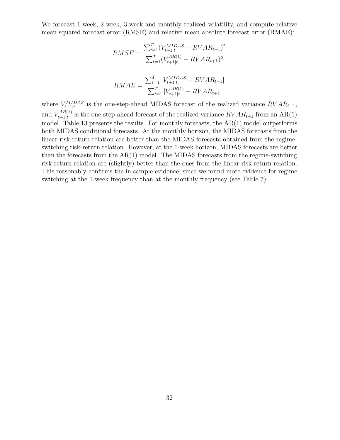We forecast 1-week, 2-week, 3-week and monthly realized volatility, and compute relative mean squared forecast error (RMSE) and relative mean absolute forecast error (RMAE):

$$
RMSE = \frac{\sum_{t=1}^{T} (V_{t+1|t}^{MIDAS} - RVAR_{t+1})^2}{\sum_{t=1}^{T} (V_{t+1|t}^{AR(1)} - RVAR_{t+1})^2}
$$

$$
RMAE = \frac{\sum_{t=1}^{T} |V_{t+1|t}^{MIDAS} - RVAR_{t+1}|}{\sum_{t=1}^{T} |V_{t+1|t}^{AR(1)} - RVAR_{t+1}|}
$$

where  $V_{t+1|t}^{MIDAS}$  is the one-step-ahead MIDAS forecast of the realized variance  $RVAR_{t+1}$ , and  $V_{t+1|t}^{AR(1)}$  $t_{t+1|t}^{AR(1)}$  is the one-step-ahead forecast of the realized variance  $RVAR_{t+1}$  from an AR(1) model. Table 13 presents the results. For monthly forecasts, the  $AR(1)$  model outperforms both MIDAS conditional forecasts. At the monthly horizon, the MIDAS forecasts from the linear risk-return relation are better than the MIDAS forecasts obtained from the regimeswitching risk-return relation. However, at the 1-week horizon, MIDAS forecasts are better than the forecasts from the  $AR(1)$  model. The MIDAS forecasts from the regime-switching risk-return relation are (slightly) better than the ones from the linear risk-return relation. This reasonably confirms the in-sample evidence, since we found more evidence for regime switching at the 1-week frequency than at the monthly frequency (see Table 7).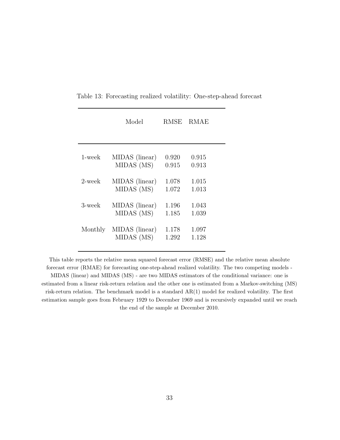|              | Model          | RMSE  | RMAE  |
|--------------|----------------|-------|-------|
| $1$ -wee $k$ | MIDAS (linear) | 0.920 | 0.915 |
|              | MIDAS (MS)     | 0.915 | 0.913 |
| 2-week       | MIDAS (linear) | 1.078 | 1.015 |
|              | MIDAS (MS)     | 1.072 | 1.013 |
| 3-week       | MIDAS (linear) | 1.196 | 1.043 |
|              | MIDAS (MS)     | 1.185 | 1.039 |
| Monthly      | MIDAS (linear) | 1.178 | 1.097 |
|              | MIDAS (MS)     | 1.292 | 1.128 |

Table 13: Forecasting realized volatility: One-step-ahead forecast

This table reports the relative mean squared forecast error (RMSE) and the relative mean absolute forecast error (RMAE) for forecasting one-step-ahead realized volatility. The two competing models - MIDAS (linear) and MIDAS (MS) - are two MIDAS estimators of the conditional variance: one is estimated from a linear risk-return relation and the other one is estimated from a Markov-switching (MS) risk-return relation. The benchmark model is a standard AR(1) model for realized volatility. The first estimation sample goes from February 1929 to December 1969 and is recursively expanded until we reach the end of the sample at December 2010.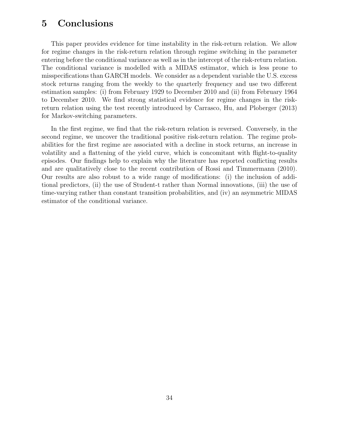## 5 Conclusions

This paper provides evidence for time instability in the risk-return relation. We allow for regime changes in the risk-return relation through regime switching in the parameter entering before the conditional variance as well as in the intercept of the risk-return relation. The conditional variance is modelled with a MIDAS estimator, which is less prone to misspecifications than GARCH models. We consider as a dependent variable the U.S. excess stock returns ranging from the weekly to the quarterly frequency and use two different estimation samples: (i) from February 1929 to December 2010 and (ii) from February 1964 to December 2010. We find strong statistical evidence for regime changes in the riskreturn relation using the test recently introduced by Carrasco, Hu, and Ploberger (2013) for Markov-switching parameters.

In the first regime, we find that the risk-return relation is reversed. Conversely, in the second regime, we uncover the traditional positive risk-return relation. The regime probabilities for the first regime are associated with a decline in stock returns, an increase in volatility and a flattening of the yield curve, which is concomitant with flight-to-quality episodes. Our findings help to explain why the literature has reported conflicting results and are qualitatively close to the recent contribution of Rossi and Timmermann (2010). Our results are also robust to a wide range of modifications: (i) the inclusion of additional predictors, (ii) the use of Student-t rather than Normal innovations, (iii) the use of time-varying rather than constant transition probabilities, and (iv) an asymmetric MIDAS estimator of the conditional variance.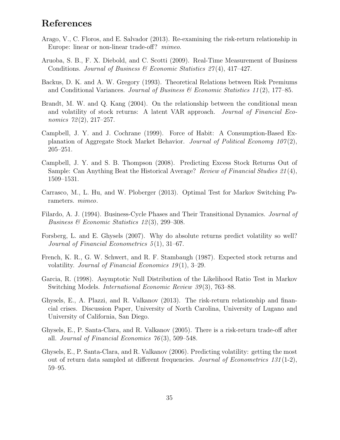## References

- Arago, V., C. Floros, and E. Salvador (2013). Re-examining the risk-return relationship in Europe: linear or non-linear trade-off? *mimeo*.
- Aruoba, S. B., F. X. Diebold, and C. Scotti (2009). Real-Time Measurement of Business Conditions. Journal of Business & Economic Statistics  $27(4)$ , 417-427.
- Backus, D. K. and A. W. Gregory (1993). Theoretical Relations between Risk Premiums and Conditional Variances. Journal of Business  $\mathcal C$  Economic Statistics 11(2), 177–85.
- Brandt, M. W. and Q. Kang (2004). On the relationship between the conditional mean and volatility of stock returns: A latent VAR approach. Journal of Financial Economics 72(2), 217-257.
- Campbell, J. Y. and J. Cochrane (1999). Force of Habit: A Consumption-Based Explanation of Aggregate Stock Market Behavior. Journal of Political Economy  $107(2)$ , 205–251.
- Campbell, J. Y. and S. B. Thompson (2008). Predicting Excess Stock Returns Out of Sample: Can Anything Beat the Historical Average? Review of Financial Studies 21(4), 1509–1531.
- Carrasco, M., L. Hu, and W. Ploberger (2013). Optimal Test for Markov Switching Parameters. mimeo.
- Filardo, A. J. (1994). Business-Cycle Phases and Their Transitional Dynamics. Journal of Business & Economic Statistics  $12(3)$ , 299-308.
- Forsberg, L. and E. Ghysels (2007). Why do absolute returns predict volatility so well? Journal of Financial Econometrics 5 (1), 31–67.
- French, K. R., G. W. Schwert, and R. F. Stambaugh (1987). Expected stock returns and volatility. Journal of Financial Economics  $19(1)$ , 3–29.
- Garcia, R. (1998). Asymptotic Null Distribution of the Likelihood Ratio Test in Markov Switching Models. *International Economic Review 39*(3), 763–88.
- Ghysels, E., A. Plazzi, and R. Valkanov (2013). The risk-return relationship and financial crises. Discussion Paper, University of North Carolina, University of Lugano and University of California, San Diego.
- Ghysels, E., P. Santa-Clara, and R. Valkanov (2005). There is a risk-return trade-off after all. Journal of Financial Economics 76 (3), 509–548.
- Ghysels, E., P. Santa-Clara, and R. Valkanov (2006). Predicting volatility: getting the most out of return data sampled at different frequencies. Journal of Econometrics 131 (1-2), 59–95.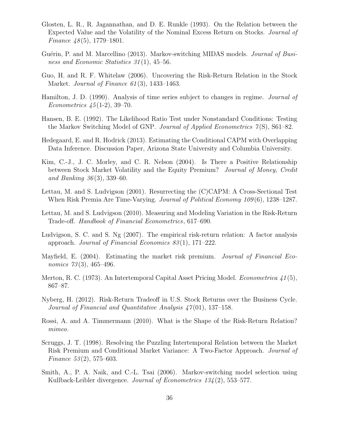- Glosten, L. R., R. Jagannathan, and D. E. Runkle (1993). On the Relation between the Expected Value and the Volatility of the Nominal Excess Return on Stocks. Journal of Finance  $\mu(8(5), 1779-1801)$ .
- Guérin, P. and M. Marcellino (2013). Markov-switching MIDAS models. *Journal of Busi*ness and Economic Statistics  $31(1)$ , 45–56.
- Guo, H. and R. F. Whitelaw (2006). Uncovering the Risk-Return Relation in the Stock Market. Journal of Finance 61 (3), 1433–1463.
- Hamilton, J. D. (1990). Analysis of time series subject to changes in regime. Journal of *Econometrics*  $45(1-2)$ , 39–70.
- Hansen, B. E. (1992). The Likelihood Ratio Test under Nonstandard Conditions: Testing the Markov Switching Model of GNP. Journal of Applied Econometrics 7(S), S61–82.
- Hedegaard, E. and R. Hodrick (2013). Estimating the Conditional CAPM with Overlapping Data Inference. Discussion Paper, Arizona State University and Columbia University.
- Kim, C.-J., J. C. Morley, and C. R. Nelson (2004). Is There a Positive Relationship between Stock Market Volatility and the Equity Premium? Journal of Money, Credit and Banking  $36(3)$ , 339–60.
- Lettau, M. and S. Ludvigson (2001). Resurrecting the (C)CAPM: A Cross-Sectional Test When Risk Premia Are Time-Varying. Journal of Political Economy 109(6), 1238–1287.
- Lettau, M. and S. Ludvigson (2010). Measuring and Modeling Variation in the Risk-Return Trade-off. Handbook of Financial Econometrics, 617–690.
- Ludvigson, S. C. and S. Ng (2007). The empirical risk-return relation: A factor analysis approach. Journal of Financial Economics 83 (1), 171–222.
- Mayfield, E. (2004). Estimating the market risk premium. *Journal of Financial Eco*nomics  $73(3)$ , 465–496.
- Merton, R. C. (1973). An Intertemporal Capital Asset Pricing Model. *Econometrica* 41(5), 867–87.
- Nyberg, H. (2012). Risk-Return Tradeoff in U.S. Stock Returns over the Business Cycle. Journal of Financial and Quantitative Analysis  $\frac{47(01)}{137-158}$ .
- Rossi, A. and A. Timmermann (2010). What is the Shape of the Risk-Return Relation? mimeo.
- Scruggs, J. T. (1998). Resolving the Puzzling Intertemporal Relation between the Market Risk Premium and Conditional Market Variance: A Two-Factor Approach. Journal of Finance  $53(2)$ , 575–603.
- Smith, A., P. A. Naik, and C.-L. Tsai (2006). Markov-switching model selection using Kullback-Leibler divergence. Journal of Econometrics 134 (2), 553–577.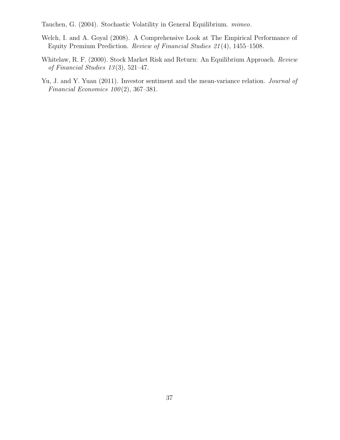Tauchen, G. (2004). Stochastic Volatility in General Equilibrium. mimeo.

- Welch, I. and A. Goyal (2008). A Comprehensive Look at The Empirical Performance of Equity Premium Prediction. Review of Financial Studies 21 (4), 1455–1508.
- Whitelaw, R. F. (2000). Stock Market Risk and Return: An Equilibrium Approach. Review of Financial Studies 13 (3), 521–47.
- Yu, J. and Y. Yuan (2011). Investor sentiment and the mean-variance relation. *Journal of* Financial Economics  $100(2)$ , 367-381.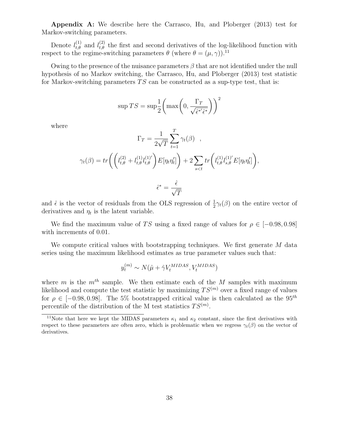Appendix A: We describe here the Carrasco, Hu, and Ploberger (2013) test for Markov-switching parameters.

Denote  $l_{t,\theta}^{(1)}$  and  $l_{t,\theta}^{(2)}$  the first and second derivatives of the log-likelihood function with respect to the regime-switching parameters  $\theta$  (where  $\theta = (\mu, \gamma)$ ).<sup>11</sup>

Owing to the presence of the nuisance parameters  $\beta$  that are not identified under the null hypothesis of no Markov switching, the Carrasco, Hu, and Ploberger (2013) test statistic for Markov-switching parameters  $TS$  can be constructed as a sup-type test, that is:

$$
\sup TS = \sup \frac{1}{2} \left( \max \left( 0, \frac{\Gamma_T}{\sqrt{\hat{\epsilon}^{*'} \hat{\epsilon}^*}} \right) \right)^2
$$

where

$$
\Gamma_T = \frac{1}{2\sqrt{T}} \sum_{t=1}^T \gamma_t(\beta) ,
$$
  

$$
\gamma_t(\beta) = tr \left( \left( l_{t,\theta}^{(2)} + l_{t,\theta}^{(1)} l_{t,\theta}^{(1)} \right) E[\eta_t \eta_t'] \right) + 2 \sum_{s < t} tr \left( l_{t,\theta}^{(1)} l_{s,\theta}^{(1)} E[\eta_t \eta_t'] \right),
$$
  

$$
\hat{\epsilon}^* = \frac{\hat{\epsilon}}{\sqrt{T}}
$$

and  $\hat{\epsilon}$  is the vector of residuals from the OLS regression of  $\frac{1}{2}\gamma_t(\beta)$  on the entire vector of derivatives and  $\eta_t$  is the latent variable.

We find the maximum value of TS using a fixed range of values for  $\rho \in [-0.98, 0.98]$ with increments of 0.01.

We compute critical values with bootstrapping techniques. We first generate M data series using the maximum likelihood estimates as true parameter values such that:

$$
y_t^{(m)} \sim N(\hat{\mu} + \hat{\gamma} V_t^{MIDAS}, V_t^{MIDAS})
$$

where m is the  $m<sup>th</sup>$  sample. We then estimate each of the M samples with maximum likelihood and compute the test statistic by maximizing  $TS<sup>(m)</sup>$  over a fixed range of values for  $\rho \in [-0.98, 0.98]$ . The 5% bootstrapped critical value is then calculated as the 95<sup>th</sup> percentile of the distribution of the M test statistics  $TS^{(m)}$ .

<sup>&</sup>lt;sup>11</sup>Note that here we kept the MIDAS parameters  $\kappa_1$  and  $\kappa_2$  constant, since the first derivatives with respect to these parameters are often zero, which is problematic when we regress  $\gamma_t(\beta)$  on the vector of derivatives.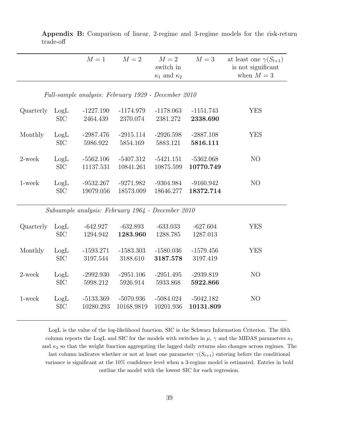|           |            | $M=1$       | $M=2$                                               | $M=2$<br>switch in        | $M=3$       | at least one $\gamma(S_{t+1})$<br>is not significant |
|-----------|------------|-------------|-----------------------------------------------------|---------------------------|-------------|------------------------------------------------------|
|           |            |             |                                                     | $\kappa_1$ and $\kappa_2$ |             | when $M=3$                                           |
|           |            |             |                                                     |                           |             |                                                      |
|           |            |             | Full-sample analysis: February 1929 - December 2010 |                           |             |                                                      |
| Quarterly | LogL       | $-1227.190$ | $-1174.979$                                         | $-1178.063$               | $-1151.743$ | <b>YES</b>                                           |
|           | <b>SIC</b> | 2464.439    | 2370.074                                            | 2381.272                  | 2338.690    |                                                      |
| Monthly   | LogL       | $-2987.476$ | $-2915.114$                                         | $-2926.598$               | $-2887.108$ | <b>YES</b>                                           |
|           | <b>SIC</b> | 5986.922    | 5854.169                                            | 5883.121                  | 5816.111    |                                                      |
| 2-week    | LogL       | $-5562.106$ | $-5407.312$                                         | $-5421.151$               | $-5362.068$ | N <sub>O</sub>                                       |
|           | <b>SIC</b> | 11137.531   | 10841.261                                           | 10875.599                 | 10770.749   |                                                      |
| 1-week    | LogL       | $-9532.267$ | $-9271.982$                                         | $-9304.984$               | $-9160.942$ | N <sub>O</sub>                                       |
|           | <b>SIC</b> | 19079.056   | 18573.009                                           | 18646.277                 | 18372.714   |                                                      |
|           |            |             | Subsample analysis: February 1964 - December 2010   |                           |             |                                                      |
| Quarterly | LogL       | $-642.927$  | $-632.893$                                          | $-633.033$                | $-627.604$  | <b>YES</b>                                           |
|           | <b>SIC</b> | 1294.942    | 1283.960                                            | 1288.785                  | 1287.013    |                                                      |
| Monthly   | LogL       | $-1593.271$ | $-1583.303$                                         | $-1580.036$               | $-1579.456$ | <b>YES</b>                                           |
|           | <b>SIC</b> | 3197.544    | 3188.610                                            | 3187.578                  | 3197.419    |                                                      |
| 2-week    | LogL       | $-2992.930$ | $-2951.106$                                         | $-2951.495$               | $-2939.819$ | NO                                                   |
|           | <b>SIC</b> | 5998.212    | 5926.914                                            | 5933.868                  | 5922.866    |                                                      |
| 1-week    | LogL       | $-5133.369$ | $-5070.936$                                         | $-5084.024$               | $-5042.182$ | N <sub>O</sub>                                       |
|           | <b>SIC</b> | 10280.293   | 10168.9819                                          | 10201.936                 | 10131.809   |                                                      |

Appendix B: Comparison of linear, 2-regime and 3-regime models for the risk-return trade-off

LogL is the value of the log-likelihood function, SIC is the Schwarz Information Criterion. The fifth column reports the LogL and SIC for the models with switches in  $\mu$ ,  $\gamma$  and the MIDAS parameters  $\kappa_1$ and  $\kappa_2$  so that the weight function aggregating the lagged daily returns also changes across regimes. The last column indicates whether or not at least one parameter  $\gamma(S_{t+1})$  entering before the conditional variance is significant at the 10% confidence level when a 3-regime model is estimated. Entries in bold outline the model with the lowest SIC for each regression.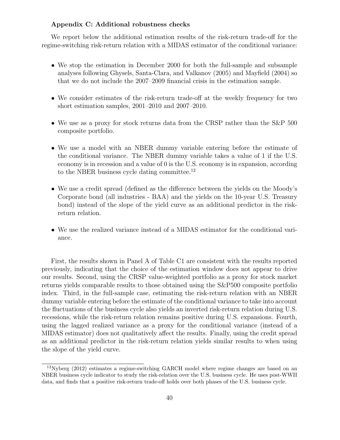#### Appendix C: Additional robustness checks

We report below the additional estimation results of the risk-return trade-off for the regime-switching risk-return relation with a MIDAS estimator of the conditional variance:

- We stop the estimation in December 2000 for both the full-sample and subsample analyses following Ghysels, Santa-Clara, and Valkanov (2005) and Mayfield (2004) so that we do not include the 2007–2009 financial crisis in the estimation sample.
- We consider estimates of the risk-return trade-off at the weekly frequency for two short estimation samples, 2001–2010 and 2007–2010.
- We use as a proxy for stock returns data from the CRSP rather than the S&P 500 composite portfolio.
- We use a model with an NBER dummy variable entering before the estimate of the conditional variance. The NBER dummy variable takes a value of 1 if the U.S. economy is in recession and a value of 0 is the U.S. economy is in expansion, according to the NBER business cycle dating committee.<sup>12</sup>
- We use a credit spread (defined as the difference between the yields on the Moody's Corporate bond (all industries - BAA) and the yields on the 10-year U.S. Treasury bond) instead of the slope of the yield curve as an additional predictor in the riskreturn relation.
- We use the realized variance instead of a MIDAS estimator for the conditional variance.

First, the results shown in Panel A of Table C1 are consistent with the results reported previously, indicating that the choice of the estimation window does not appear to drive our results. Second, using the CRSP value-weighted portfolio as a proxy for stock market returns yields comparable results to those obtained using the S&P500 composite portfolio index. Third, in the full-sample case, estimating the risk-return relation with an NBER dummy variable entering before the estimate of the conditional variance to take into account the fluctuations of the business cycle also yields an inverted risk-return relation during U.S. recessions, while the risk-return relation remains positive during U.S. expansions. Fourth, using the lagged realized variance as a proxy for the conditional variance (instead of a MIDAS estimator) does not qualitatively affect the results. Finally, using the credit spread as an additional predictor in the risk-return relation yields similar results to when using the slope of the yield curve.

<sup>&</sup>lt;sup>12</sup>Nyberg (2012) estimates a regime-switching GARCH model where regime changes are based on an NBER business cycle indicator to study the risk-relation over the U.S. business cycle. He uses post-WWII data, and finds that a positive risk-return trade-off holds over both phases of the U.S. business cycle.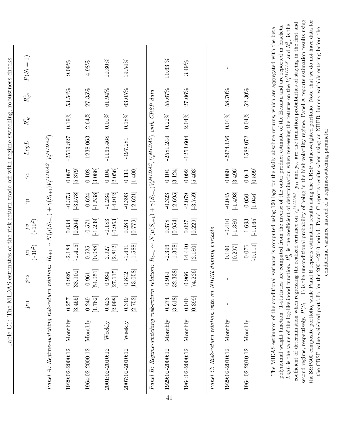|                                                                                                                                         |         |                    |                   | $\mu_1$ (*10 <sup>2</sup> ) | $\mu_2$ (*10 <sup>2</sup> ) |                        |                      |             |          |           |            |
|-----------------------------------------------------------------------------------------------------------------------------------------|---------|--------------------|-------------------|-----------------------------|-----------------------------|------------------------|----------------------|-------------|----------|-----------|------------|
| Panel A: Regime-switching risk-return relation: $R_{t+1} \sim N(\mu(S_{t+1}) + \gamma(S_{t+1})V_t^{MIDAS}, V_t^{MIDAS})$                |         |                    |                   |                             |                             |                        |                      |             |          |           |            |
| 1929:02-2000:12                                                                                                                         | Monthly | [3.455]<br>0.257   | [38.901]<br>0.926 | $[-1.415]$<br>$-2.184$      | [0.264]<br>0.034            | $[-3.578]$<br>$-0.373$ | $[5.379]$<br>0.087   | $-2569.827$ | $0.19\%$ | 53.54%    | $9.09\%$   |
| 1964:02-2000:12                                                                                                                         | Monthly | [1.762]<br>0.249   | [54.051]<br>0.961 | [0.088]<br>0.525            | $[-1.239]$<br>$-0.571$      | $[-1.538]$<br>$-0.624$ | [3.086]<br>$0.108\,$ | $-1238.063$ | $2.64\%$ | $27.35\%$ | $4.98\%$   |
| 2001:02-2010:12                                                                                                                         | Weekly  | [2.998]<br>0.423   | [27.615]<br>0.934 | [2.812]<br>2.927            | $[-0.963]$<br>$-0.183$      | $[-4.912]$<br>$-1.234$ | [2.056]<br>$0.104\,$ | $-1135.468$ | $0.01\%$ | $61.94\%$ | $10.30\%$  |
| 2007:02-2010:12                                                                                                                         | Weekly  | [2.752]<br>0.349   | [13.058]<br>0.842 | $[-1.588]$<br>$-1.431$      | [0.779]<br>0.283            | $[-2.621]$<br>$-0.393$ | [1.400]<br>$0.114\,$ | $-497.281$  | $0.18\%$ | $63.05\%$ | 19.54%     |
| Panel B: Regime-switching risk-return relation: $R_{t+1} \sim N(\mu(S_{t+1}) + \gamma(S_{t+1})V_t^{MIDAS}, V_t^{MIDAS})$ with CRSP data |         |                    |                   |                             |                             |                        |                      |             |          |           |            |
| 1929:02-2000:12<br>41                                                                                                                   | Monthly | $[3.618]$<br>0.274 | [32.338]<br>0.914 | $[-1.358]$<br>$-2.393$      | [0.954]<br>0.378            | $[-2.695]$<br>$-0.323$ | [3.124]<br>0.104     | $-2581.244$ | $0.22\%$ | 55.67%    | $10.63~\%$ |
| 1964:02-2000:12                                                                                                                         | Monthly | [0.399]<br>0.046   | [74.226]<br>0.966 | 14.440<br>$[2.180]$         | [0.229]<br>0.027            | $[-3.759]$<br>$-2.079$ | [5.403]<br>0.092     | $-1253.604$ | $2.04\%$ | 27.06%    | 3.49%      |
| Panel C: Risk-return relation with an NBER                                                                                              |         |                    |                   | $dummy\ variable$           |                             |                        |                      |             |          |           |            |
| 1929:02-2010:12                                                                                                                         | Monthly |                    |                   | [0.297]<br>0.190            | $[-1.380]$<br>$-0.410$      | $[-1.498]$<br>$-0.045$ | [3.496]<br>0.080     | $-2974.156$ | $0.01\%$ | 58.70%    |            |
| 1964:02-2010:12                                                                                                                         | Monthly |                    |                   | $[-0.119]$<br>$-0.076$      | $[-1.165]$<br>$-1.693$      | [1.046]<br>0.050       | [0.599]<br>0.041     | $-1588.072$ | $0.04\%$ | 52.30%    | I          |

the CRSP value-weighted portfolio for the 2001-2010 period. Panel C reports results when using an NBER dummy variable entering before the the CRSP value-weighted portfolio for the 2001–2010 period. Panel C reports results when using an NBER dummy variable entering before the conditional variance instead of a regime-switching parameter. conditional variance instead of a regime-switching parameter.

coefficient of determination when regressing the realized variance on

second regime, respectively.

 $V_t^{MIDAS}$ second regime, respectively.  $P(S_t = 1)$  is the unconditional probability of being in the high-volatility regime. Panel A reports estimation results using

.  $p_{11}$  and

 $P(S_t = 1)$  is the unconditional probability of being in the high-volatility regime. Panel A reports estimation results using

the S&P500 composite portfolio, while Panel B reports estimation results using the CRSP value-weighted portfolio. Note that we do not have data for

the S&P500 composite portfolio, while Panel B reports estimation results using the CRSP value-weighted portfolio. Note that we do not have data for

p22 are the transition probabilities of staying in the first and